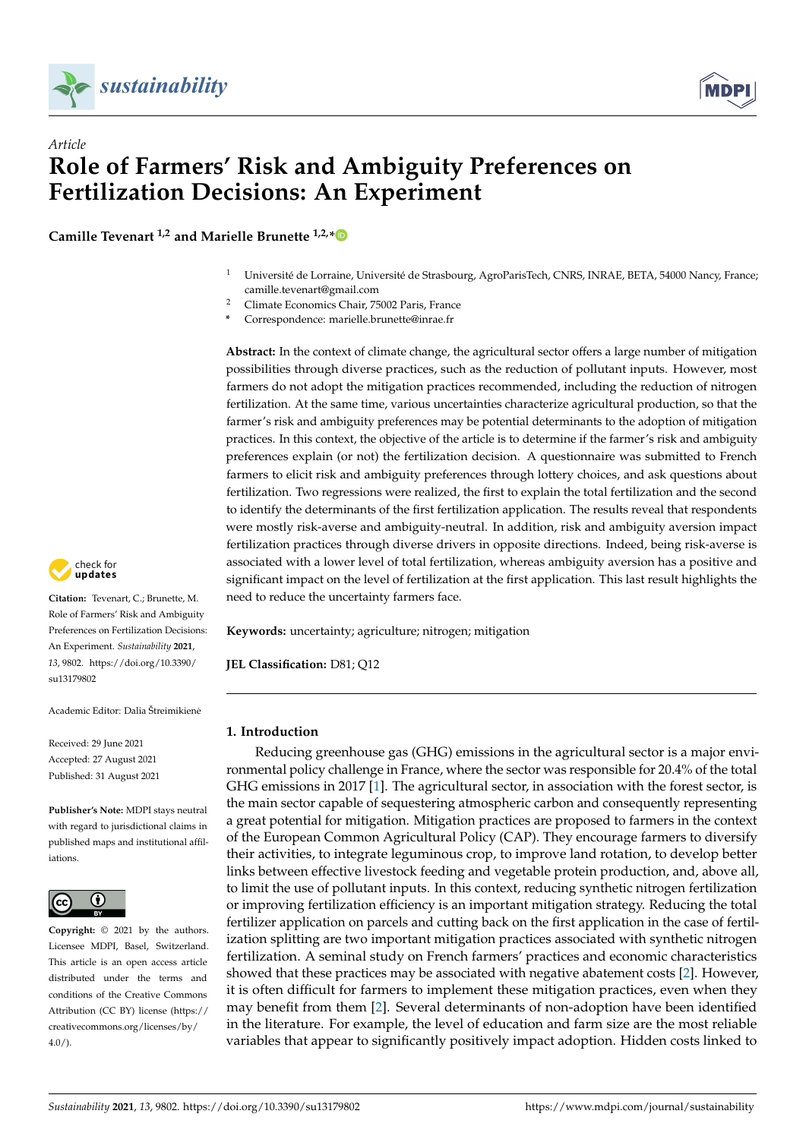

*Article*



# **Role of Farmers' Risk and Ambiguity Preferences on Fertilization Decisions: An Experiment**

**Camille Tevenart 1,2 and Marielle Brunette 1,2,[\\*](https://orcid.org/0000-0001-8192-4819)**

- <sup>1</sup> Université de Lorraine, Université de Strasbourg, AgroParisTech, CNRS, INRAE, BETA, 54000 Nancy, France; camille.tevenart@gmail.com
- <sup>2</sup> Climate Economics Chair, 75002 Paris, France
- **\*** Correspondence: marielle.brunette@inrae.fr

**Abstract:** In the context of climate change, the agricultural sector offers a large number of mitigation possibilities through diverse practices, such as the reduction of pollutant inputs. However, most farmers do not adopt the mitigation practices recommended, including the reduction of nitrogen fertilization. At the same time, various uncertainties characterize agricultural production, so that the farmer's risk and ambiguity preferences may be potential determinants to the adoption of mitigation practices. In this context, the objective of the article is to determine if the farmer's risk and ambiguity preferences explain (or not) the fertilization decision. A questionnaire was submitted to French farmers to elicit risk and ambiguity preferences through lottery choices, and ask questions about fertilization. Two regressions were realized, the first to explain the total fertilization and the second to identify the determinants of the first fertilization application. The results reveal that respondents were mostly risk-averse and ambiguity-neutral. In addition, risk and ambiguity aversion impact fertilization practices through diverse drivers in opposite directions. Indeed, being risk-averse is associated with a lower level of total fertilization, whereas ambiguity aversion has a positive and significant impact on the level of fertilization at the first application. This last result highlights the need to reduce the uncertainty farmers face.

**Keywords:** uncertainty; agriculture; nitrogen; mitigation

**JEL Classification:** D81; Q12

## **1. Introduction**

Reducing greenhouse gas (GHG) emissions in the agricultural sector is a major environmental policy challenge in France, where the sector was responsible for 20.4% of the total GHG emissions in 2017 [\[1\]](#page-24-0). The agricultural sector, in association with the forest sector, is the main sector capable of sequestering atmospheric carbon and consequently representing a great potential for mitigation. Mitigation practices are proposed to farmers in the context of the European Common Agricultural Policy (CAP). They encourage farmers to diversify their activities, to integrate leguminous crop, to improve land rotation, to develop better links between effective livestock feeding and vegetable protein production, and, above all, to limit the use of pollutant inputs. In this context, reducing synthetic nitrogen fertilization or improving fertilization efficiency is an important mitigation strategy. Reducing the total fertilizer application on parcels and cutting back on the first application in the case of fertilization splitting are two important mitigation practices associated with synthetic nitrogen fertilization. A seminal study on French farmers' practices and economic characteristics showed that these practices may be associated with negative abatement costs [\[2\]](#page-24-1). However, it is often difficult for farmers to implement these mitigation practices, even when they may benefit from them [\[2\]](#page-24-1). Several determinants of non-adoption have been identified in the literature. For example, the level of education and farm size are the most reliable variables that appear to significantly positively impact adoption. Hidden costs linked to



**Citation:** Tevenart, C.; Brunette, M. Role of Farmers' Risk and Ambiguity Preferences on Fertilization Decisions: An Experiment. *Sustainability* **2021**, *13*, 9802. [https://doi.org/10.3390/](https://doi.org/10.3390/su13179802) [su13179802](https://doi.org/10.3390/su13179802)

Academic Editor: Dalia Štreimikiene˙

Received: 29 June 2021 Accepted: 27 August 2021 Published: 31 August 2021

**Publisher's Note:** MDPI stays neutral with regard to jurisdictional claims in published maps and institutional affiliations.



**Copyright:** © 2021 by the authors. Licensee MDPI, Basel, Switzerland. This article is an open access article distributed under the terms and conditions of the Creative Commons Attribution (CC BY) license (https:/[/](https://creativecommons.org/licenses/by/4.0/) [creativecommons.org/licenses/by/](https://creativecommons.org/licenses/by/4.0/)  $4.0/$ ).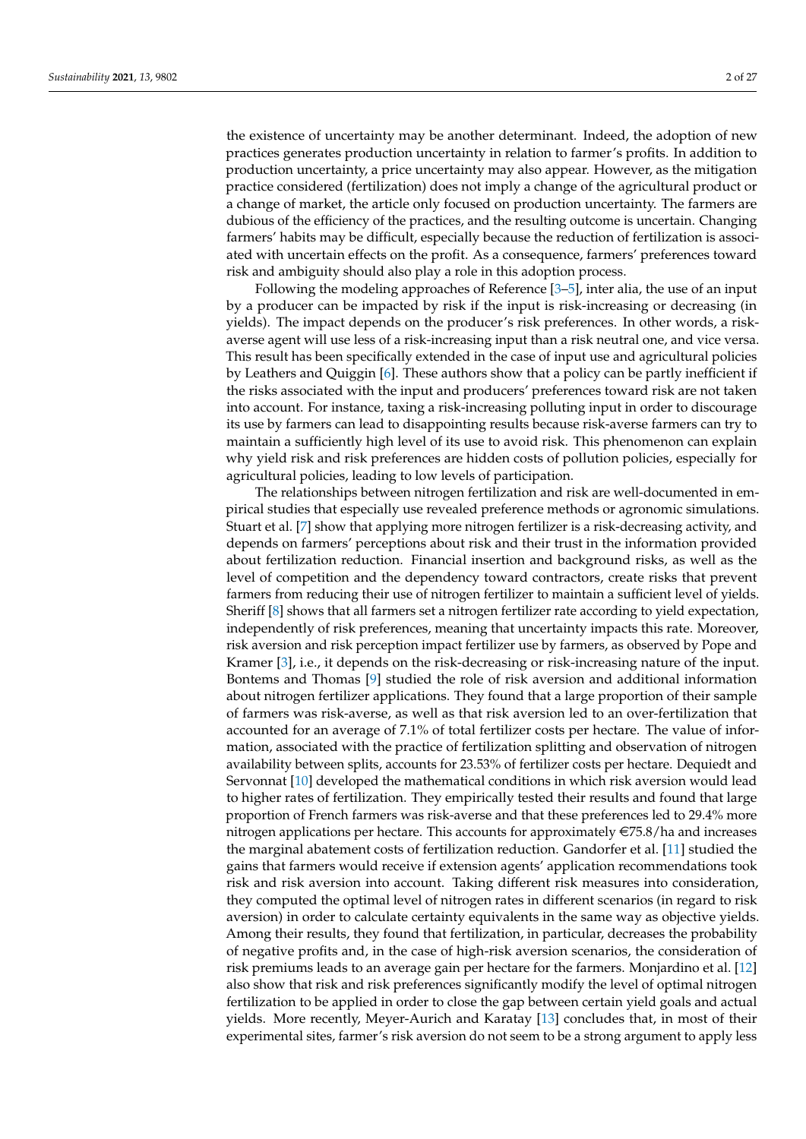the existence of uncertainty may be another determinant. Indeed, the adoption of new practices generates production uncertainty in relation to farmer's profits. In addition to production uncertainty, a price uncertainty may also appear. However, as the mitigation practice considered (fertilization) does not imply a change of the agricultural product or a change of market, the article only focused on production uncertainty. The farmers are dubious of the efficiency of the practices, and the resulting outcome is uncertain. Changing farmers' habits may be difficult, especially because the reduction of fertilization is associated with uncertain effects on the profit. As a consequence, farmers' preferences toward

Following the modeling approaches of Reference [\[3–](#page-24-2)[5\]](#page-24-3), inter alia, the use of an input by a producer can be impacted by risk if the input is risk-increasing or decreasing (in yields). The impact depends on the producer's risk preferences. In other words, a riskaverse agent will use less of a risk-increasing input than a risk neutral one, and vice versa. This result has been specifically extended in the case of input use and agricultural policies by Leathers and Quiggin [\[6\]](#page-24-4). These authors show that a policy can be partly inefficient if the risks associated with the input and producers' preferences toward risk are not taken into account. For instance, taxing a risk-increasing polluting input in order to discourage its use by farmers can lead to disappointing results because risk-averse farmers can try to maintain a sufficiently high level of its use to avoid risk. This phenomenon can explain why yield risk and risk preferences are hidden costs of pollution policies, especially for agricultural policies, leading to low levels of participation.

risk and ambiguity should also play a role in this adoption process.

The relationships between nitrogen fertilization and risk are well-documented in empirical studies that especially use revealed preference methods or agronomic simulations. Stuart et al. [\[7\]](#page-25-0) show that applying more nitrogen fertilizer is a risk-decreasing activity, and depends on farmers' perceptions about risk and their trust in the information provided about fertilization reduction. Financial insertion and background risks, as well as the level of competition and the dependency toward contractors, create risks that prevent farmers from reducing their use of nitrogen fertilizer to maintain a sufficient level of yields. Sheriff [\[8\]](#page-25-1) shows that all farmers set a nitrogen fertilizer rate according to yield expectation, independently of risk preferences, meaning that uncertainty impacts this rate. Moreover, risk aversion and risk perception impact fertilizer use by farmers, as observed by Pope and Kramer [\[3\]](#page-24-2), i.e., it depends on the risk-decreasing or risk-increasing nature of the input. Bontems and Thomas [\[9\]](#page-25-2) studied the role of risk aversion and additional information about nitrogen fertilizer applications. They found that a large proportion of their sample of farmers was risk-averse, as well as that risk aversion led to an over-fertilization that accounted for an average of 7.1% of total fertilizer costs per hectare. The value of information, associated with the practice of fertilization splitting and observation of nitrogen availability between splits, accounts for 23.53% of fertilizer costs per hectare. Dequiedt and Servonnat [\[10\]](#page-25-3) developed the mathematical conditions in which risk aversion would lead to higher rates of fertilization. They empirically tested their results and found that large proportion of French farmers was risk-averse and that these preferences led to 29.4% more nitrogen applications per hectare. This accounts for approximately  $\epsilon$ 75.8/ha and increases the marginal abatement costs of fertilization reduction. Gandorfer et al. [\[11\]](#page-25-4) studied the gains that farmers would receive if extension agents' application recommendations took risk and risk aversion into account. Taking different risk measures into consideration, they computed the optimal level of nitrogen rates in different scenarios (in regard to risk aversion) in order to calculate certainty equivalents in the same way as objective yields. Among their results, they found that fertilization, in particular, decreases the probability of negative profits and, in the case of high-risk aversion scenarios, the consideration of risk premiums leads to an average gain per hectare for the farmers. Monjardino et al. [\[12\]](#page-25-5) also show that risk and risk preferences significantly modify the level of optimal nitrogen fertilization to be applied in order to close the gap between certain yield goals and actual yields. More recently, Meyer-Aurich and Karatay [\[13\]](#page-25-6) concludes that, in most of their experimental sites, farmer's risk aversion do not seem to be a strong argument to apply less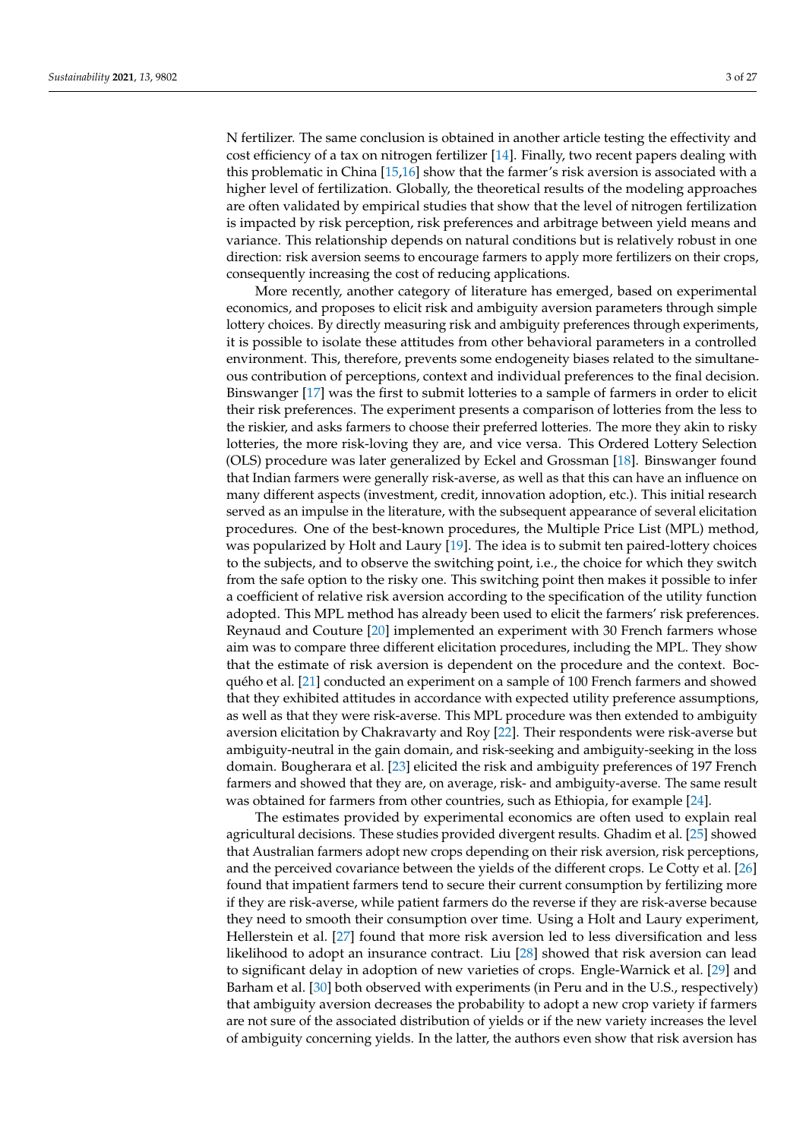N fertilizer. The same conclusion is obtained in another article testing the effectivity and cost efficiency of a tax on nitrogen fertilizer [\[14\]](#page-25-7). Finally, two recent papers dealing with this problematic in China [\[15,](#page-25-8)[16\]](#page-25-9) show that the farmer's risk aversion is associated with a higher level of fertilization. Globally, the theoretical results of the modeling approaches are often validated by empirical studies that show that the level of nitrogen fertilization is impacted by risk perception, risk preferences and arbitrage between yield means and variance. This relationship depends on natural conditions but is relatively robust in one direction: risk aversion seems to encourage farmers to apply more fertilizers on their crops, consequently increasing the cost of reducing applications.

More recently, another category of literature has emerged, based on experimental economics, and proposes to elicit risk and ambiguity aversion parameters through simple lottery choices. By directly measuring risk and ambiguity preferences through experiments, it is possible to isolate these attitudes from other behavioral parameters in a controlled environment. This, therefore, prevents some endogeneity biases related to the simultaneous contribution of perceptions, context and individual preferences to the final decision. Binswanger [\[17\]](#page-25-10) was the first to submit lotteries to a sample of farmers in order to elicit their risk preferences. The experiment presents a comparison of lotteries from the less to the riskier, and asks farmers to choose their preferred lotteries. The more they akin to risky lotteries, the more risk-loving they are, and vice versa. This Ordered Lottery Selection (OLS) procedure was later generalized by Eckel and Grossman [\[18\]](#page-25-11). Binswanger found that Indian farmers were generally risk-averse, as well as that this can have an influence on many different aspects (investment, credit, innovation adoption, etc.). This initial research served as an impulse in the literature, with the subsequent appearance of several elicitation procedures. One of the best-known procedures, the Multiple Price List (MPL) method, was popularized by Holt and Laury [\[19\]](#page-25-12). The idea is to submit ten paired-lottery choices to the subjects, and to observe the switching point, i.e., the choice for which they switch from the safe option to the risky one. This switching point then makes it possible to infer a coefficient of relative risk aversion according to the specification of the utility function adopted. This MPL method has already been used to elicit the farmers' risk preferences. Reynaud and Couture [\[20\]](#page-25-13) implemented an experiment with 30 French farmers whose aim was to compare three different elicitation procedures, including the MPL. They show that the estimate of risk aversion is dependent on the procedure and the context. Bocquého et al. [\[21\]](#page-25-14) conducted an experiment on a sample of 100 French farmers and showed that they exhibited attitudes in accordance with expected utility preference assumptions, as well as that they were risk-averse. This MPL procedure was then extended to ambiguity aversion elicitation by Chakravarty and Roy [\[22\]](#page-25-15). Their respondents were risk-averse but ambiguity-neutral in the gain domain, and risk-seeking and ambiguity-seeking in the loss domain. Bougherara et al. [\[23\]](#page-25-16) elicited the risk and ambiguity preferences of 197 French farmers and showed that they are, on average, risk- and ambiguity-averse. The same result was obtained for farmers from other countries, such as Ethiopia, for example [\[24\]](#page-25-17).

The estimates provided by experimental economics are often used to explain real agricultural decisions. These studies provided divergent results. Ghadim et al. [\[25\]](#page-25-18) showed that Australian farmers adopt new crops depending on their risk aversion, risk perceptions, and the perceived covariance between the yields of the different crops. Le Cotty et al. [\[26\]](#page-25-19) found that impatient farmers tend to secure their current consumption by fertilizing more if they are risk-averse, while patient farmers do the reverse if they are risk-averse because they need to smooth their consumption over time. Using a Holt and Laury experiment, Hellerstein et al. [\[27\]](#page-25-20) found that more risk aversion led to less diversification and less likelihood to adopt an insurance contract. Liu [\[28\]](#page-25-21) showed that risk aversion can lead to significant delay in adoption of new varieties of crops. Engle-Warnick et al. [\[29\]](#page-25-22) and Barham et al. [\[30\]](#page-25-23) both observed with experiments (in Peru and in the U.S., respectively) that ambiguity aversion decreases the probability to adopt a new crop variety if farmers are not sure of the associated distribution of yields or if the new variety increases the level of ambiguity concerning yields. In the latter, the authors even show that risk aversion has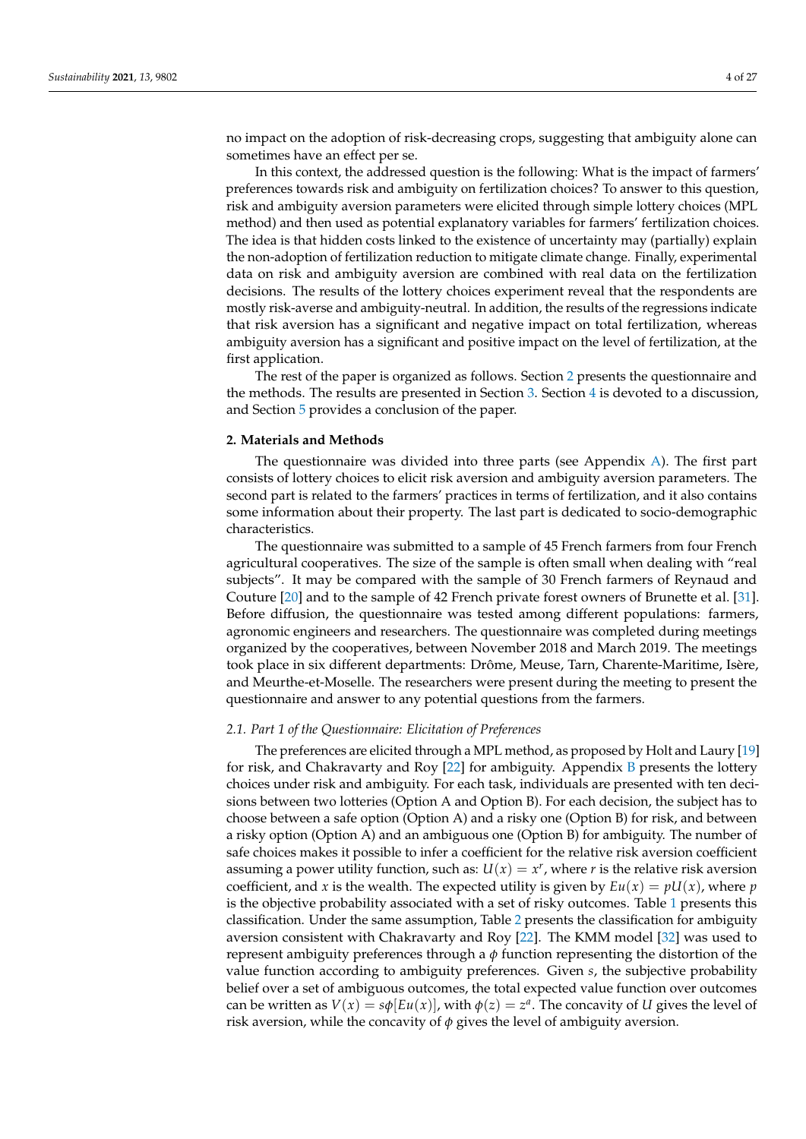no impact on the adoption of risk-decreasing crops, suggesting that ambiguity alone can sometimes have an effect per se.

In this context, the addressed question is the following: What is the impact of farmers' preferences towards risk and ambiguity on fertilization choices? To answer to this question, risk and ambiguity aversion parameters were elicited through simple lottery choices (MPL method) and then used as potential explanatory variables for farmers' fertilization choices. The idea is that hidden costs linked to the existence of uncertainty may (partially) explain the non-adoption of fertilization reduction to mitigate climate change. Finally, experimental data on risk and ambiguity aversion are combined with real data on the fertilization decisions. The results of the lottery choices experiment reveal that the respondents are mostly risk-averse and ambiguity-neutral. In addition, the results of the regressions indicate that risk aversion has a significant and negative impact on total fertilization, whereas ambiguity aversion has a significant and positive impact on the level of fertilization, at the first application.

The rest of the paper is organized as follows. Section [2](#page-3-0) presents the questionnaire and the methods. The results are presented in Section [3.](#page-5-0) Section [4](#page-13-0) is devoted to a discussion, and Section [5](#page-15-0) provides a conclusion of the paper.

#### <span id="page-3-0"></span>**2. Materials and Methods**

The questionnaire was divided into three parts (see Appendix [A\)](#page-16-0). The first part consists of lottery choices to elicit risk aversion and ambiguity aversion parameters. The second part is related to the farmers' practices in terms of fertilization, and it also contains some information about their property. The last part is dedicated to socio-demographic characteristics.

The questionnaire was submitted to a sample of 45 French farmers from four French agricultural cooperatives. The size of the sample is often small when dealing with "real subjects". It may be compared with the sample of 30 French farmers of Reynaud and Couture [\[20\]](#page-25-13) and to the sample of 42 French private forest owners of Brunette et al. [\[31\]](#page-25-24). Before diffusion, the questionnaire was tested among different populations: farmers, agronomic engineers and researchers. The questionnaire was completed during meetings organized by the cooperatives, between November 2018 and March 2019. The meetings took place in six different departments: Drôme, Meuse, Tarn, Charente-Maritime, Isère, and Meurthe-et-Moselle. The researchers were present during the meeting to present the questionnaire and answer to any potential questions from the farmers.

#### *2.1. Part 1 of the Questionnaire: Elicitation of Preferences*

The preferences are elicited through a MPL method, as proposed by Holt and Laury [\[19\]](#page-25-12) for risk, and Chakravarty and Roy [\[22\]](#page-25-15) for ambiguity. Appendix [B](#page-20-0) presents the lottery choices under risk and ambiguity. For each task, individuals are presented with ten decisions between two lotteries (Option A and Option B). For each decision, the subject has to choose between a safe option (Option A) and a risky one (Option B) for risk, and between a risky option (Option A) and an ambiguous one (Option B) for ambiguity. The number of safe choices makes it possible to infer a coefficient for the relative risk aversion coefficient assuming a power utility function, such as:  $U(x) = x^r$ , where *r* is the relative risk aversion coefficient, and *x* is the wealth. The expected utility is given by  $Eu(x) = pU(x)$ , where *p* is the objective probability associated with a set of risky outcomes. Table [1](#page-4-0) presents this classification. Under the same assumption, Table [2](#page-4-1) presents the classification for ambiguity aversion consistent with Chakravarty and Roy [\[22\]](#page-25-15). The KMM model [\[32\]](#page-25-25) was used to represent ambiguity preferences through a  $\phi$  function representing the distortion of the value function according to ambiguity preferences. Given *s*, the subjective probability belief over a set of ambiguous outcomes, the total expected value function over outcomes can be written as  $V(x) = s\phi[Eu(x)]$ , with  $\phi(z) = z^a$ . The concavity of *U* gives the level of risk aversion, while the concavity of *φ* gives the level of ambiguity aversion.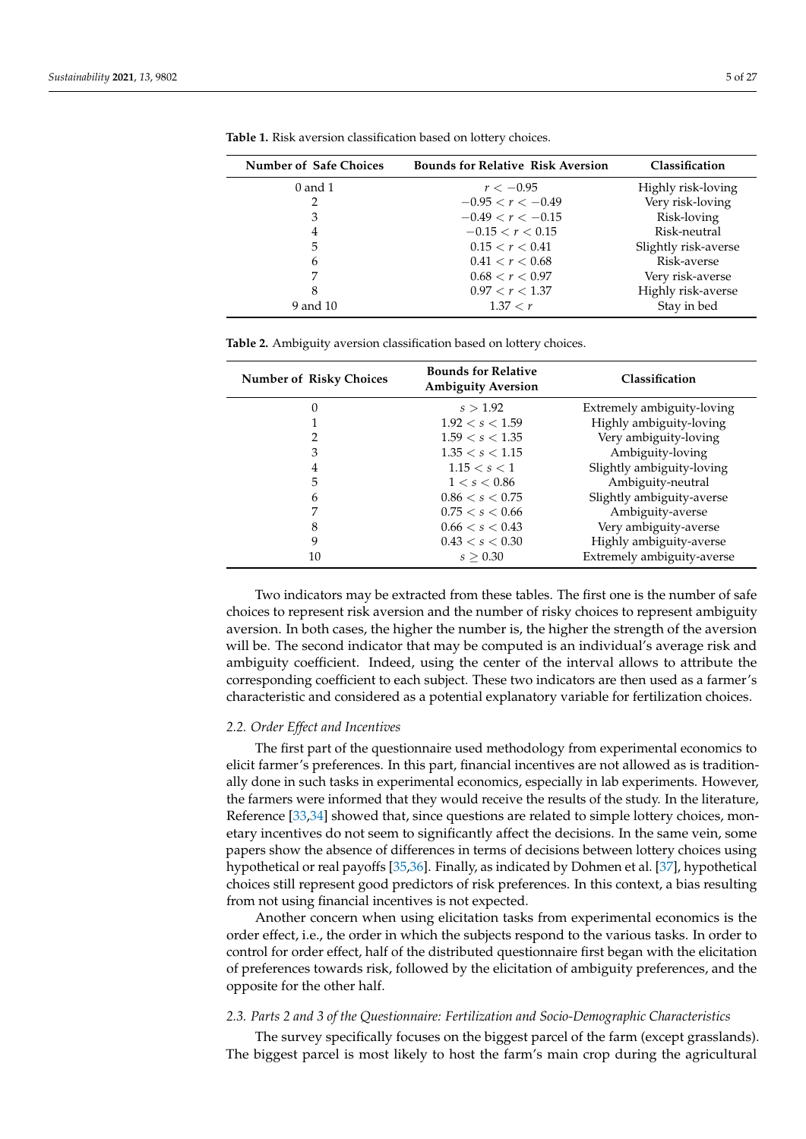| <b>Number of Safe Choices</b> | <b>Bounds for Relative Risk Aversion</b> | Classification       |
|-------------------------------|------------------------------------------|----------------------|
| $0$ and $1$                   | $r < -0.95$                              | Highly risk-loving   |
| 2                             | $-0.95 < r < -0.49$                      | Very risk-loving     |
| 3                             | $-0.49 < r < -0.15$                      | Risk-loving          |
| 4                             | $-0.15 < r < 0.15$                       | Risk-neutral         |
| 5                             | 0.15 < r < 0.41                          | Slightly risk-averse |
| 6                             | 0.41 < r < 0.68                          | Risk-averse          |
|                               | 0.68 < r < 0.97                          | Very risk-averse     |
| 8                             | 0.97 < r < 1.37                          | Highly risk-averse   |
| 9 and 10                      | 1.37 < r                                 | Stay in bed          |

<span id="page-4-0"></span>**Table 1.** Risk aversion classification based on lottery choices.

<span id="page-4-1"></span>

| Table 2. Ambiguity aversion classification based on lottery choices. |  |  |  |  |  |
|----------------------------------------------------------------------|--|--|--|--|--|
|----------------------------------------------------------------------|--|--|--|--|--|

| <b>Number of Risky Choices</b> | <b>Bounds for Relative</b><br><b>Ambiguity Aversion</b> | Classification             |
|--------------------------------|---------------------------------------------------------|----------------------------|
| 0                              | s > 1.92                                                | Extremely ambiguity-loving |
|                                | 1.92 < s < 1.59                                         | Highly ambiguity-loving    |
| 2                              | 1.59 < s < 1.35                                         | Very ambiguity-loving      |
| 3                              | 1.35 < s < 1.15                                         | Ambiguity-loving           |
| 4                              | 1.15 < s < 1                                            | Slightly ambiguity-loving  |
| 5                              | 1 < s < 0.86                                            | Ambiguity-neutral          |
| 6                              | 0.86 < s < 0.75                                         | Slightly ambiguity-averse  |
| 7                              | 0.75 < s < 0.66                                         | Ambiguity-averse           |
| 8                              | 0.66 < s < 0.43                                         | Very ambiguity-averse      |
| 9                              | 0.43 < s < 0.30                                         | Highly ambiguity-averse    |
| 10                             | s > 0.30                                                | Extremely ambiguity-averse |

Two indicators may be extracted from these tables. The first one is the number of safe choices to represent risk aversion and the number of risky choices to represent ambiguity aversion. In both cases, the higher the number is, the higher the strength of the aversion will be. The second indicator that may be computed is an individual's average risk and ambiguity coefficient. Indeed, using the center of the interval allows to attribute the corresponding coefficient to each subject. These two indicators are then used as a farmer's characteristic and considered as a potential explanatory variable for fertilization choices.

#### *2.2. Order Effect and Incentives*

The first part of the questionnaire used methodology from experimental economics to elicit farmer's preferences. In this part, financial incentives are not allowed as is traditionally done in such tasks in experimental economics, especially in lab experiments. However, the farmers were informed that they would receive the results of the study. In the literature, Reference [\[33,](#page-25-26)[34\]](#page-25-27) showed that, since questions are related to simple lottery choices, monetary incentives do not seem to significantly affect the decisions. In the same vein, some papers show the absence of differences in terms of decisions between lottery choices using hypothetical or real payoffs [\[35](#page-25-28)[,36\]](#page-25-29). Finally, as indicated by Dohmen et al. [\[37\]](#page-25-30), hypothetical choices still represent good predictors of risk preferences. In this context, a bias resulting from not using financial incentives is not expected.

Another concern when using elicitation tasks from experimental economics is the order effect, i.e., the order in which the subjects respond to the various tasks. In order to control for order effect, half of the distributed questionnaire first began with the elicitation of preferences towards risk, followed by the elicitation of ambiguity preferences, and the opposite for the other half.

# *2.3. Parts 2 and 3 of the Questionnaire: Fertilization and Socio-Demographic Characteristics*

The survey specifically focuses on the biggest parcel of the farm (except grasslands). The biggest parcel is most likely to host the farm's main crop during the agricultural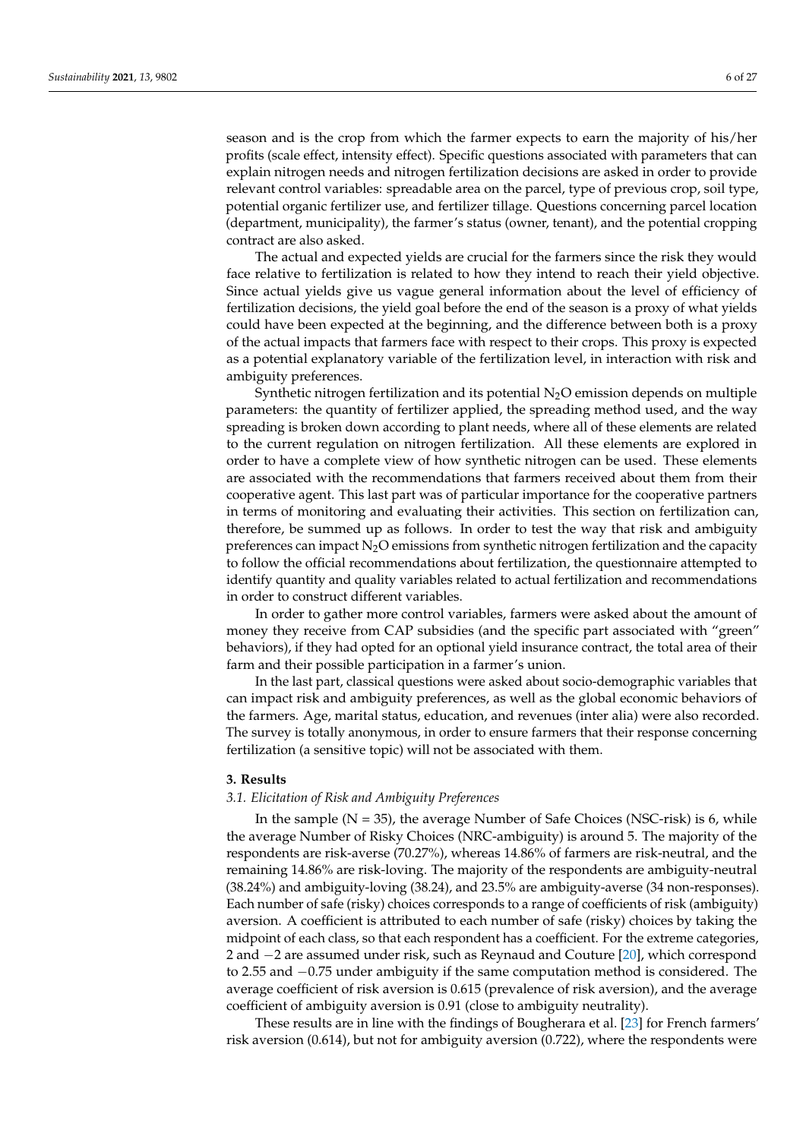season and is the crop from which the farmer expects to earn the majority of his/her profits (scale effect, intensity effect). Specific questions associated with parameters that can explain nitrogen needs and nitrogen fertilization decisions are asked in order to provide relevant control variables: spreadable area on the parcel, type of previous crop, soil type, potential organic fertilizer use, and fertilizer tillage. Questions concerning parcel location (department, municipality), the farmer's status (owner, tenant), and the potential cropping contract are also asked.

The actual and expected yields are crucial for the farmers since the risk they would face relative to fertilization is related to how they intend to reach their yield objective. Since actual yields give us vague general information about the level of efficiency of fertilization decisions, the yield goal before the end of the season is a proxy of what yields could have been expected at the beginning, and the difference between both is a proxy of the actual impacts that farmers face with respect to their crops. This proxy is expected as a potential explanatory variable of the fertilization level, in interaction with risk and ambiguity preferences.

Synthetic nitrogen fertilization and its potential  $N_2O$  emission depends on multiple parameters: the quantity of fertilizer applied, the spreading method used, and the way spreading is broken down according to plant needs, where all of these elements are related to the current regulation on nitrogen fertilization. All these elements are explored in order to have a complete view of how synthetic nitrogen can be used. These elements are associated with the recommendations that farmers received about them from their cooperative agent. This last part was of particular importance for the cooperative partners in terms of monitoring and evaluating their activities. This section on fertilization can, therefore, be summed up as follows. In order to test the way that risk and ambiguity preferences can impact  $N_2O$  emissions from synthetic nitrogen fertilization and the capacity to follow the official recommendations about fertilization, the questionnaire attempted to identify quantity and quality variables related to actual fertilization and recommendations in order to construct different variables.

In order to gather more control variables, farmers were asked about the amount of money they receive from CAP subsidies (and the specific part associated with "green" behaviors), if they had opted for an optional yield insurance contract, the total area of their farm and their possible participation in a farmer's union.

In the last part, classical questions were asked about socio-demographic variables that can impact risk and ambiguity preferences, as well as the global economic behaviors of the farmers. Age, marital status, education, and revenues (inter alia) were also recorded. The survey is totally anonymous, in order to ensure farmers that their response concerning fertilization (a sensitive topic) will not be associated with them.

#### <span id="page-5-0"></span>**3. Results**

#### *3.1. Elicitation of Risk and Ambiguity Preferences*

In the sample  $(N = 35)$ , the average Number of Safe Choices (NSC-risk) is 6, while the average Number of Risky Choices (NRC-ambiguity) is around 5. The majority of the respondents are risk-averse (70.27%), whereas 14.86% of farmers are risk-neutral, and the remaining 14.86% are risk-loving. The majority of the respondents are ambiguity-neutral (38.24%) and ambiguity-loving (38.24), and 23.5% are ambiguity-averse (34 non-responses). Each number of safe (risky) choices corresponds to a range of coefficients of risk (ambiguity) aversion. A coefficient is attributed to each number of safe (risky) choices by taking the midpoint of each class, so that each respondent has a coefficient. For the extreme categories, 2 and −2 are assumed under risk, such as Reynaud and Couture [\[20\]](#page-25-13), which correspond to 2.55 and −0.75 under ambiguity if the same computation method is considered. The average coefficient of risk aversion is 0.615 (prevalence of risk aversion), and the average coefficient of ambiguity aversion is 0.91 (close to ambiguity neutrality).

These results are in line with the findings of Bougherara et al. [\[23\]](#page-25-16) for French farmers' risk aversion (0.614), but not for ambiguity aversion (0.722), where the respondents were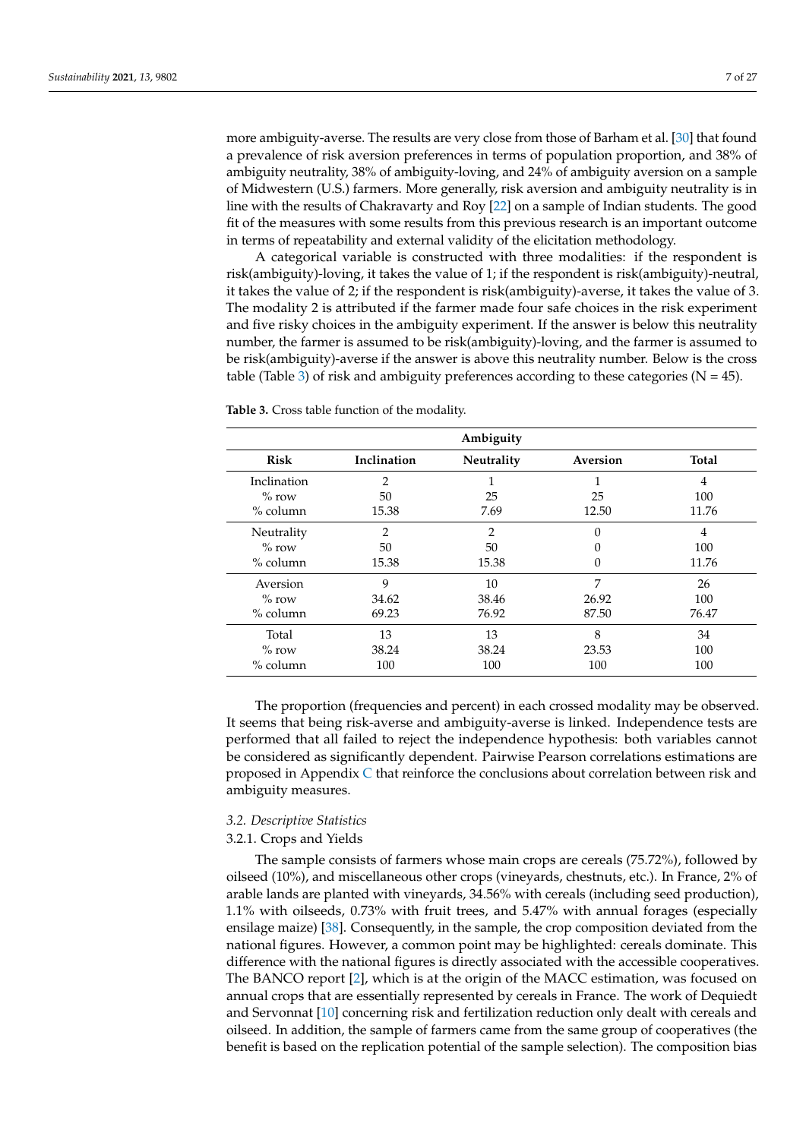more ambiguity-averse. The results are very close from those of Barham et al. [\[30\]](#page-25-23) that found a prevalence of risk aversion preferences in terms of population proportion, and 38% of ambiguity neutrality, 38% of ambiguity-loving, and 24% of ambiguity aversion on a sample of Midwestern (U.S.) farmers. More generally, risk aversion and ambiguity neutrality is in line with the results of Chakravarty and Roy [\[22\]](#page-25-15) on a sample of Indian students. The good fit of the measures with some results from this previous research is an important outcome in terms of repeatability and external validity of the elicitation methodology.

A categorical variable is constructed with three modalities: if the respondent is risk(ambiguity)-loving, it takes the value of 1; if the respondent is risk(ambiguity)-neutral, it takes the value of 2; if the respondent is risk(ambiguity)-averse, it takes the value of 3. The modality 2 is attributed if the farmer made four safe choices in the risk experiment and five risky choices in the ambiguity experiment. If the answer is below this neutrality number, the farmer is assumed to be risk(ambiguity)-loving, and the farmer is assumed to be risk(ambiguity)-averse if the answer is above this neutrality number. Below is the cross table (Table [3\)](#page-6-0) of risk and ambiguity preferences according to these categories ( $N = 45$ ).

|                                       | Ambiguity                     |                      |                     |                    |  |  |  |  |  |
|---------------------------------------|-------------------------------|----------------------|---------------------|--------------------|--|--|--|--|--|
| <b>Risk</b>                           | Inclination                   | Neutrality           | Aversion            | <b>Total</b>       |  |  |  |  |  |
| Inclination<br>$\%$ row<br>$%$ column | $\mathfrak{D}$<br>50<br>15.38 | 25<br>7.69           | 25<br>12.50         | 4<br>100<br>11.76  |  |  |  |  |  |
| Neutrality<br>$\%$ row<br>$%$ column  | 2<br>50<br>15.38              | 2<br>50<br>15.38     | $\Omega$<br>0       | 4<br>100<br>11.76  |  |  |  |  |  |
| Aversion<br>$\%$ row<br>$%$ column    | 9<br>34.62<br>69.23           | 10<br>38.46<br>76.92 | 7<br>26.92<br>87.50 | 26<br>100<br>76.47 |  |  |  |  |  |
| Total<br>$\%$ row<br>% column         | 13<br>38.24<br>100            | 13<br>38.24<br>100   | 8<br>23.53<br>100   | 34<br>100<br>100   |  |  |  |  |  |

<span id="page-6-0"></span>**Table 3.** Cross table function of the modality.

The proportion (frequencies and percent) in each crossed modality may be observed. It seems that being risk-averse and ambiguity-averse is linked. Independence tests are performed that all failed to reject the independence hypothesis: both variables cannot be considered as significantly dependent. Pairwise Pearson correlations estimations are proposed in Appendix [C](#page-21-0) that reinforce the conclusions about correlation between risk and ambiguity measures.

# *3.2. Descriptive Statistics*

#### 3.2.1. Crops and Yields

The sample consists of farmers whose main crops are cereals (75.72%), followed by oilseed (10%), and miscellaneous other crops (vineyards, chestnuts, etc.). In France, 2% of arable lands are planted with vineyards, 34.56% with cereals (including seed production), 1.1% with oilseeds, 0.73% with fruit trees, and 5.47% with annual forages (especially ensilage maize) [\[38\]](#page-26-0). Consequently, in the sample, the crop composition deviated from the national figures. However, a common point may be highlighted: cereals dominate. This difference with the national figures is directly associated with the accessible cooperatives. The BANCO report [\[2\]](#page-24-1), which is at the origin of the MACC estimation, was focused on annual crops that are essentially represented by cereals in France. The work of Dequiedt and Servonnat [\[10\]](#page-25-3) concerning risk and fertilization reduction only dealt with cereals and oilseed. In addition, the sample of farmers came from the same group of cooperatives (the benefit is based on the replication potential of the sample selection). The composition bias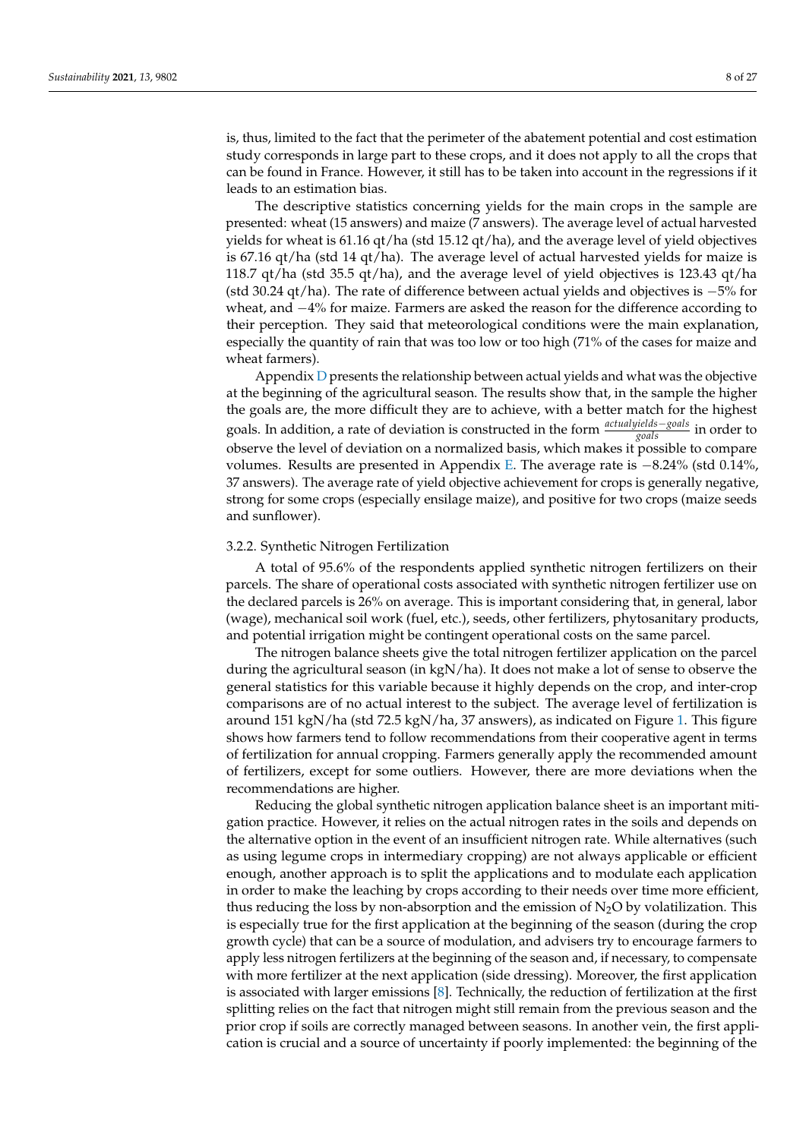is, thus, limited to the fact that the perimeter of the abatement potential and cost estimation study corresponds in large part to these crops, and it does not apply to all the crops that can be found in France. However, it still has to be taken into account in the regressions if it leads to an estimation bias.

The descriptive statistics concerning yields for the main crops in the sample are presented: wheat (15 answers) and maize (7 answers). The average level of actual harvested yields for wheat is 61.16 qt/ha (std 15.12 qt/ha), and the average level of yield objectives is 67.16 qt/ha (std 14 qt/ha). The average level of actual harvested yields for maize is 118.7 qt/ha (std 35.5 qt/ha), and the average level of yield objectives is 123.43 qt/ha (std 30.24 qt/ha). The rate of difference between actual yields and objectives is −5% for wheat, and −4% for maize. Farmers are asked the reason for the difference according to their perception. They said that meteorological conditions were the main explanation, especially the quantity of rain that was too low or too high (71% of the cases for maize and wheat farmers).

Appendix [D](#page-21-1) presents the relationship between actual yields and what was the objective at the beginning of the agricultural season. The results show that, in the sample the higher the goals are, the more difficult they are to achieve, with a better match for the highest goals. In addition, a rate of deviation is constructed in the form *actualyields*−*goals goals* in order to observe the level of deviation on a normalized basis, which makes it possible to compare volumes. Results are presented in Appendix [E.](#page-23-0) The average rate is −8.24% (std 0.14%, 37 answers). The average rate of yield objective achievement for crops is generally negative, strong for some crops (especially ensilage maize), and positive for two crops (maize seeds and sunflower).

#### 3.2.2. Synthetic Nitrogen Fertilization

A total of 95.6% of the respondents applied synthetic nitrogen fertilizers on their parcels. The share of operational costs associated with synthetic nitrogen fertilizer use on the declared parcels is 26% on average. This is important considering that, in general, labor (wage), mechanical soil work (fuel, etc.), seeds, other fertilizers, phytosanitary products, and potential irrigation might be contingent operational costs on the same parcel.

The nitrogen balance sheets give the total nitrogen fertilizer application on the parcel during the agricultural season (in kgN/ha). It does not make a lot of sense to observe the general statistics for this variable because it highly depends on the crop, and inter-crop comparisons are of no actual interest to the subject. The average level of fertilization is around 151 kgN/ha (std 72.5 kgN/ha, 37 answers), as indicated on Figure [1.](#page-8-0) This figure shows how farmers tend to follow recommendations from their cooperative agent in terms of fertilization for annual cropping. Farmers generally apply the recommended amount of fertilizers, except for some outliers. However, there are more deviations when the recommendations are higher.

Reducing the global synthetic nitrogen application balance sheet is an important mitigation practice. However, it relies on the actual nitrogen rates in the soils and depends on the alternative option in the event of an insufficient nitrogen rate. While alternatives (such as using legume crops in intermediary cropping) are not always applicable or efficient enough, another approach is to split the applications and to modulate each application in order to make the leaching by crops according to their needs over time more efficient, thus reducing the loss by non-absorption and the emission of  $N_2O$  by volatilization. This is especially true for the first application at the beginning of the season (during the crop growth cycle) that can be a source of modulation, and advisers try to encourage farmers to apply less nitrogen fertilizers at the beginning of the season and, if necessary, to compensate with more fertilizer at the next application (side dressing). Moreover, the first application is associated with larger emissions  $[8]$ . Technically, the reduction of fertilization at the first splitting relies on the fact that nitrogen might still remain from the previous season and the prior crop if soils are correctly managed between seasons. In another vein, the first application is crucial and a source of uncertainty if poorly implemented: the beginning of the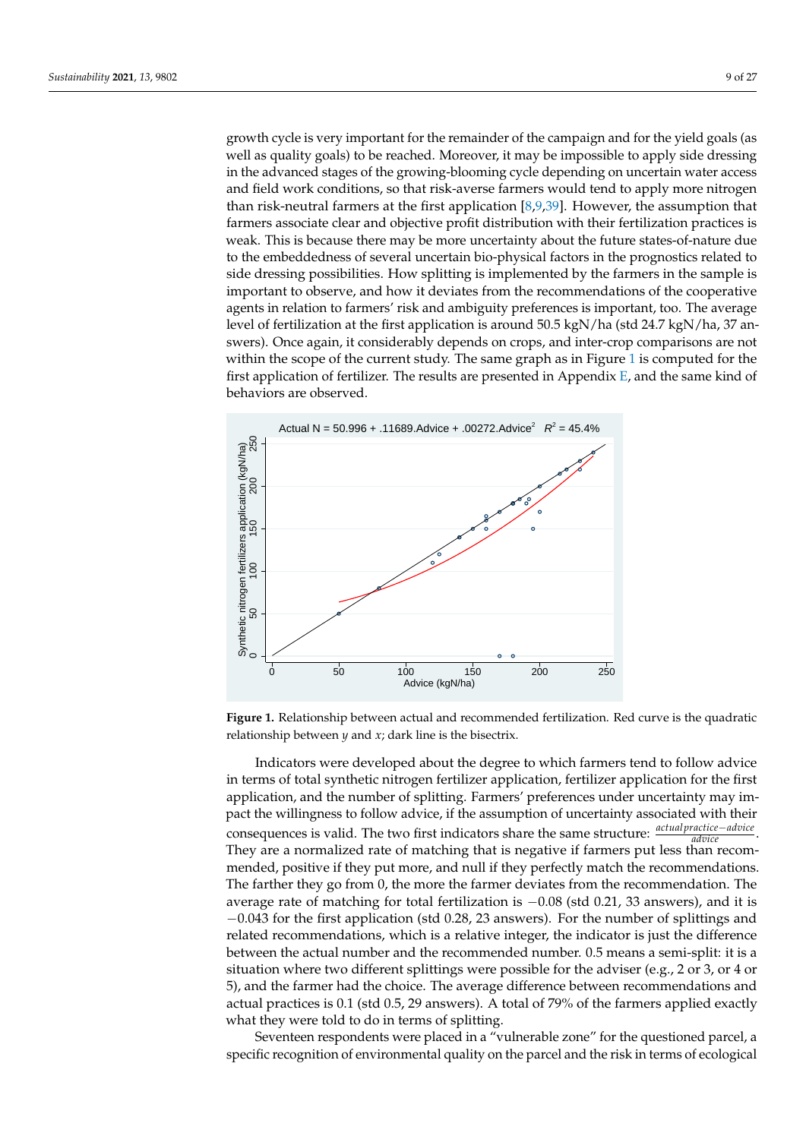growth cycle is very important for the remainder of the campaign and for the yield goals (as well as quality goals) to be reached. Moreover, it may be impossible to apply side dressing in the advanced stages of the growing-blooming cycle depending on uncertain water access and field work conditions, so that risk-averse farmers would tend to apply more nitrogen than risk-neutral farmers at the first application  $[8,9,39]$  $[8,9,39]$  $[8,9,39]$ . However, the assumption that farmers associate clear and objective profit distribution with their fertilization practices is weak. This is because there may be more uncertainty about the future states-of-nature due to the embeddedness of several uncertain bio-physical factors in the prognostics related to side dressing possibilities. How splitting is implemented by the farmers in the sample is important to observe, and how it deviates from the recommendations of the cooperative agents in relation to farmers' risk and ambiguity preferences is important, too. The average level of fertilization at the first application is around 50.5 kgN/ha (std 24.7 kgN/ha, 37 answers). Once again, it considerably depends on crops, and inter-crop comparisons are not within the scope of the current study. The same graph as in Figure [1](#page-8-0) is computed for the first application of fertilizer. The results are presented in Appendix [E,](#page-23-0) and the same kind of behaviors are observed.

<span id="page-8-0"></span>

**Figure 1.** Relationship between actual and recommended fertilization. Red curve is the quadratic relationship between *y* and *x*; dark line is the bisectrix.

Indicators were developed about the degree to which farmers tend to follow advice in terms of total synthetic nitrogen fertilizer application, fertilizer application for the first application, and the number of splitting. Farmers' preferences under uncertainty may impact the willingness to follow advice, if the assumption of uncertainty associated with their consequences is valid. The two first indicators share the same structure: *actual practice*−*advice advice* . They are a normalized rate of matching that is negative if farmers put less than recommended, positive if they put more, and null if they perfectly match the recommendations. The farther they go from 0, the more the farmer deviates from the recommendation. The average rate of matching for total fertilization is −0.08 (std 0.21, 33 answers), and it is −0.043 for the first application (std 0.28, 23 answers). For the number of splittings and related recommendations, which is a relative integer, the indicator is just the difference between the actual number and the recommended number. 0.5 means a semi-split: it is a situation where two different splittings were possible for the adviser (e.g., 2 or 3, or 4 or 5), and the farmer had the choice. The average difference between recommendations and actual practices is 0.1 (std 0.5, 29 answers). A total of 79% of the farmers applied exactly what they were told to do in terms of splitting.

Seventeen respondents were placed in a "vulnerable zone" for the questioned parcel, a specific recognition of environmental quality on the parcel and the risk in terms of ecological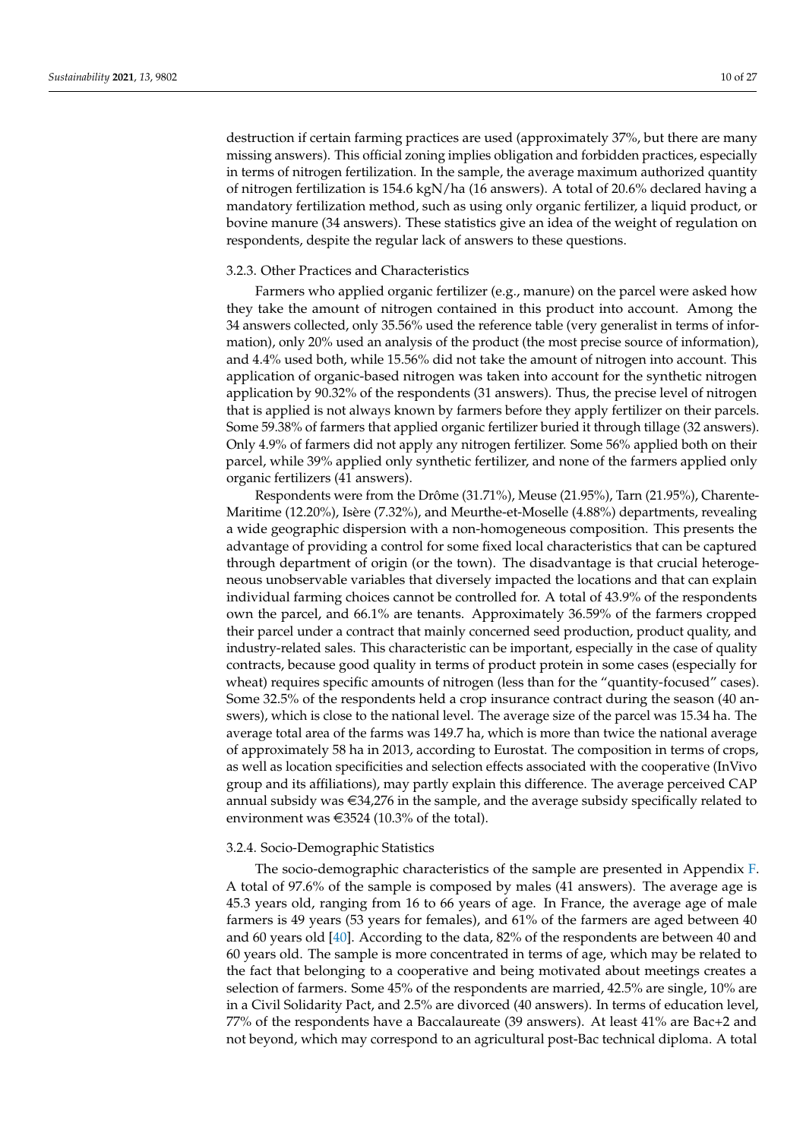destruction if certain farming practices are used (approximately 37%, but there are many missing answers). This official zoning implies obligation and forbidden practices, especially in terms of nitrogen fertilization. In the sample, the average maximum authorized quantity of nitrogen fertilization is 154.6 kgN/ha (16 answers). A total of 20.6% declared having a mandatory fertilization method, such as using only organic fertilizer, a liquid product, or bovine manure (34 answers). These statistics give an idea of the weight of regulation on respondents, despite the regular lack of answers to these questions.

# 3.2.3. Other Practices and Characteristics

Farmers who applied organic fertilizer (e.g., manure) on the parcel were asked how they take the amount of nitrogen contained in this product into account. Among the 34 answers collected, only 35.56% used the reference table (very generalist in terms of information), only 20% used an analysis of the product (the most precise source of information), and 4.4% used both, while 15.56% did not take the amount of nitrogen into account. This application of organic-based nitrogen was taken into account for the synthetic nitrogen application by 90.32% of the respondents (31 answers). Thus, the precise level of nitrogen that is applied is not always known by farmers before they apply fertilizer on their parcels. Some 59.38% of farmers that applied organic fertilizer buried it through tillage (32 answers). Only 4.9% of farmers did not apply any nitrogen fertilizer. Some 56% applied both on their parcel, while 39% applied only synthetic fertilizer, and none of the farmers applied only organic fertilizers (41 answers).

Respondents were from the Drôme (31.71%), Meuse (21.95%), Tarn (21.95%), Charente-Maritime (12.20%), Isère (7.32%), and Meurthe-et-Moselle (4.88%) departments, revealing a wide geographic dispersion with a non-homogeneous composition. This presents the advantage of providing a control for some fixed local characteristics that can be captured through department of origin (or the town). The disadvantage is that crucial heterogeneous unobservable variables that diversely impacted the locations and that can explain individual farming choices cannot be controlled for. A total of 43.9% of the respondents own the parcel, and 66.1% are tenants. Approximately 36.59% of the farmers cropped their parcel under a contract that mainly concerned seed production, product quality, and industry-related sales. This characteristic can be important, especially in the case of quality contracts, because good quality in terms of product protein in some cases (especially for wheat) requires specific amounts of nitrogen (less than for the "quantity-focused" cases). Some 32.5% of the respondents held a crop insurance contract during the season (40 answers), which is close to the national level. The average size of the parcel was 15.34 ha. The average total area of the farms was 149.7 ha, which is more than twice the national average of approximately 58 ha in 2013, according to Eurostat. The composition in terms of crops, as well as location specificities and selection effects associated with the cooperative (InVivo group and its affiliations), may partly explain this difference. The average perceived CAP annual subsidy was  $\in$ 34,276 in the sample, and the average subsidy specifically related to environment was  $\epsilon$ 3524 (10.3% of the total).

#### 3.2.4. Socio-Demographic Statistics

The socio-demographic characteristics of the sample are presented in Appendix [F.](#page-23-1) A total of 97.6% of the sample is composed by males (41 answers). The average age is 45.3 years old, ranging from 16 to 66 years of age. In France, the average age of male farmers is 49 years (53 years for females), and 61% of the farmers are aged between 40 and 60 years old [\[40\]](#page-26-2). According to the data, 82% of the respondents are between 40 and 60 years old. The sample is more concentrated in terms of age, which may be related to the fact that belonging to a cooperative and being motivated about meetings creates a selection of farmers. Some 45% of the respondents are married, 42.5% are single, 10% are in a Civil Solidarity Pact, and 2.5% are divorced (40 answers). In terms of education level, 77% of the respondents have a Baccalaureate (39 answers). At least 41% are Bac+2 and not beyond, which may correspond to an agricultural post-Bac technical diploma. A total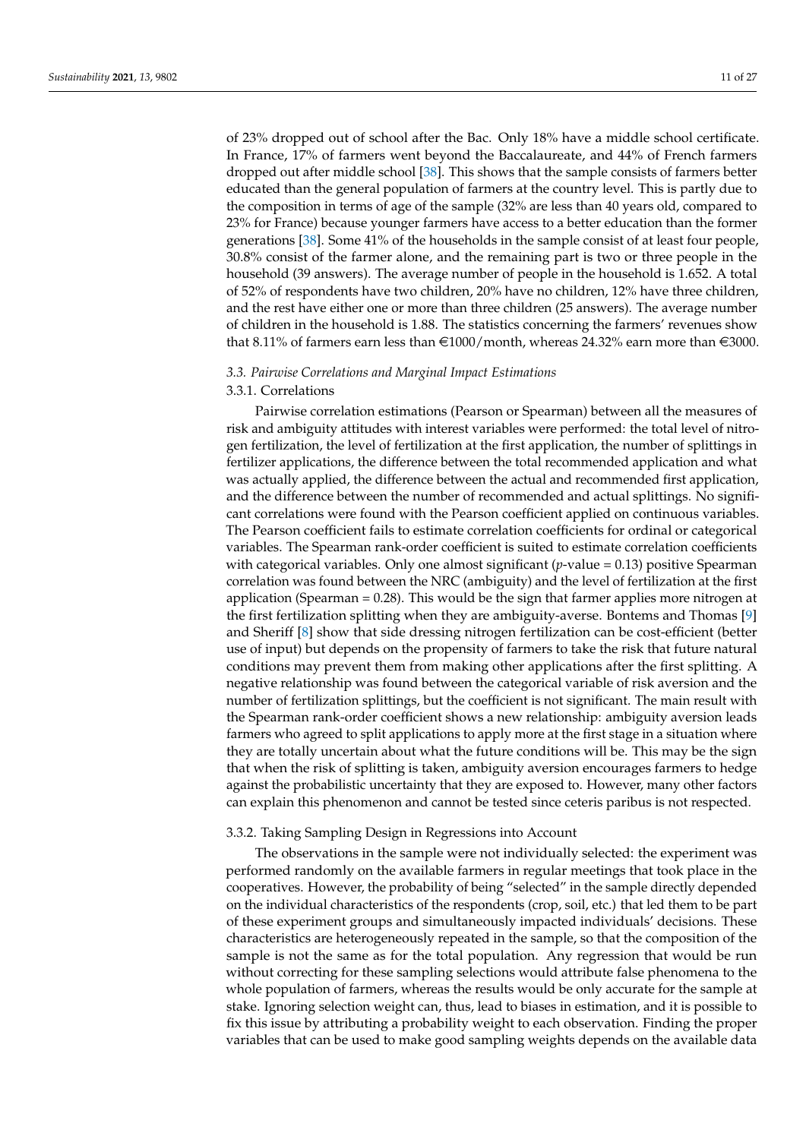of 23% dropped out of school after the Bac. Only 18% have a middle school certificate. In France, 17% of farmers went beyond the Baccalaureate, and 44% of French farmers dropped out after middle school [\[38\]](#page-26-0). This shows that the sample consists of farmers better educated than the general population of farmers at the country level. This is partly due to the composition in terms of age of the sample (32% are less than 40 years old, compared to 23% for France) because younger farmers have access to a better education than the former generations [\[38\]](#page-26-0). Some 41% of the households in the sample consist of at least four people, 30.8% consist of the farmer alone, and the remaining part is two or three people in the household (39 answers). The average number of people in the household is 1.652. A total of 52% of respondents have two children, 20% have no children, 12% have three children, and the rest have either one or more than three children (25 answers). The average number of children in the household is 1.88. The statistics concerning the farmers' revenues show that 8.11% of farmers earn less than  $\in$  1000/month, whereas 24.32% earn more than  $\in$  3000.

#### *3.3. Pairwise Correlations and Marginal Impact Estimations*

#### 3.3.1. Correlations

Pairwise correlation estimations (Pearson or Spearman) between all the measures of risk and ambiguity attitudes with interest variables were performed: the total level of nitrogen fertilization, the level of fertilization at the first application, the number of splittings in fertilizer applications, the difference between the total recommended application and what was actually applied, the difference between the actual and recommended first application, and the difference between the number of recommended and actual splittings. No significant correlations were found with the Pearson coefficient applied on continuous variables. The Pearson coefficient fails to estimate correlation coefficients for ordinal or categorical variables. The Spearman rank-order coefficient is suited to estimate correlation coefficients with categorical variables. Only one almost significant (*p*-value = 0.13) positive Spearman correlation was found between the NRC (ambiguity) and the level of fertilization at the first application (Spearman  $= 0.28$ ). This would be the sign that farmer applies more nitrogen at the first fertilization splitting when they are ambiguity-averse. Bontems and Thomas [\[9\]](#page-25-2) and Sheriff [\[8\]](#page-25-1) show that side dressing nitrogen fertilization can be cost-efficient (better use of input) but depends on the propensity of farmers to take the risk that future natural conditions may prevent them from making other applications after the first splitting. A negative relationship was found between the categorical variable of risk aversion and the number of fertilization splittings, but the coefficient is not significant. The main result with the Spearman rank-order coefficient shows a new relationship: ambiguity aversion leads farmers who agreed to split applications to apply more at the first stage in a situation where they are totally uncertain about what the future conditions will be. This may be the sign that when the risk of splitting is taken, ambiguity aversion encourages farmers to hedge against the probabilistic uncertainty that they are exposed to. However, many other factors can explain this phenomenon and cannot be tested since ceteris paribus is not respected.

#### 3.3.2. Taking Sampling Design in Regressions into Account

The observations in the sample were not individually selected: the experiment was performed randomly on the available farmers in regular meetings that took place in the cooperatives. However, the probability of being "selected" in the sample directly depended on the individual characteristics of the respondents (crop, soil, etc.) that led them to be part of these experiment groups and simultaneously impacted individuals' decisions. These characteristics are heterogeneously repeated in the sample, so that the composition of the sample is not the same as for the total population. Any regression that would be run without correcting for these sampling selections would attribute false phenomena to the whole population of farmers, whereas the results would be only accurate for the sample at stake. Ignoring selection weight can, thus, lead to biases in estimation, and it is possible to fix this issue by attributing a probability weight to each observation. Finding the proper variables that can be used to make good sampling weights depends on the available data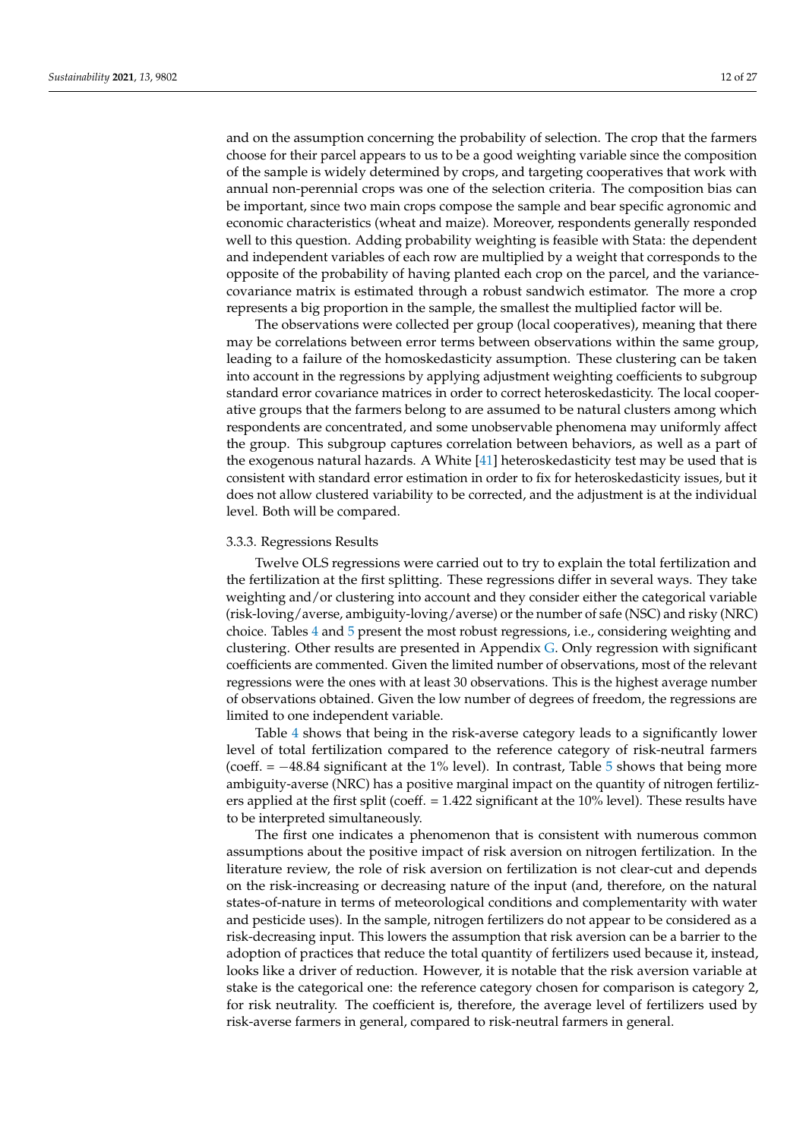and on the assumption concerning the probability of selection. The crop that the farmers choose for their parcel appears to us to be a good weighting variable since the composition of the sample is widely determined by crops, and targeting cooperatives that work with annual non-perennial crops was one of the selection criteria. The composition bias can be important, since two main crops compose the sample and bear specific agronomic and economic characteristics (wheat and maize). Moreover, respondents generally responded well to this question. Adding probability weighting is feasible with Stata: the dependent and independent variables of each row are multiplied by a weight that corresponds to the opposite of the probability of having planted each crop on the parcel, and the variancecovariance matrix is estimated through a robust sandwich estimator. The more a crop represents a big proportion in the sample, the smallest the multiplied factor will be.

The observations were collected per group (local cooperatives), meaning that there may be correlations between error terms between observations within the same group, leading to a failure of the homoskedasticity assumption. These clustering can be taken into account in the regressions by applying adjustment weighting coefficients to subgroup standard error covariance matrices in order to correct heteroskedasticity. The local cooperative groups that the farmers belong to are assumed to be natural clusters among which respondents are concentrated, and some unobservable phenomena may uniformly affect the group. This subgroup captures correlation between behaviors, as well as a part of the exogenous natural hazards. A White [\[41\]](#page-26-3) heteroskedasticity test may be used that is consistent with standard error estimation in order to fix for heteroskedasticity issues, but it does not allow clustered variability to be corrected, and the adjustment is at the individual level. Both will be compared.

#### 3.3.3. Regressions Results

Twelve OLS regressions were carried out to try to explain the total fertilization and the fertilization at the first splitting. These regressions differ in several ways. They take weighting and/or clustering into account and they consider either the categorical variable (risk-loving/averse, ambiguity-loving/averse) or the number of safe (NSC) and risky (NRC) choice. Tables [4](#page-12-0) and [5](#page-12-1) present the most robust regressions, i.e., considering weighting and clustering. Other results are presented in Appendix [G.](#page-24-5) Only regression with significant coefficients are commented. Given the limited number of observations, most of the relevant regressions were the ones with at least 30 observations. This is the highest average number of observations obtained. Given the low number of degrees of freedom, the regressions are limited to one independent variable.

Table [4](#page-12-0) shows that being in the risk-averse category leads to a significantly lower level of total fertilization compared to the reference category of risk-neutral farmers (coeff. = −48.84 significant at the 1% level). In contrast, Table [5](#page-12-1) shows that being more ambiguity-averse (NRC) has a positive marginal impact on the quantity of nitrogen fertilizers applied at the first split (coeff. = 1.422 significant at the 10% level). These results have to be interpreted simultaneously.

The first one indicates a phenomenon that is consistent with numerous common assumptions about the positive impact of risk aversion on nitrogen fertilization. In the literature review, the role of risk aversion on fertilization is not clear-cut and depends on the risk-increasing or decreasing nature of the input (and, therefore, on the natural states-of-nature in terms of meteorological conditions and complementarity with water and pesticide uses). In the sample, nitrogen fertilizers do not appear to be considered as a risk-decreasing input. This lowers the assumption that risk aversion can be a barrier to the adoption of practices that reduce the total quantity of fertilizers used because it, instead, looks like a driver of reduction. However, it is notable that the risk aversion variable at stake is the categorical one: the reference category chosen for comparison is category 2, for risk neutrality. The coefficient is, therefore, the average level of fertilizers used by risk-averse farmers in general, compared to risk-neutral farmers in general.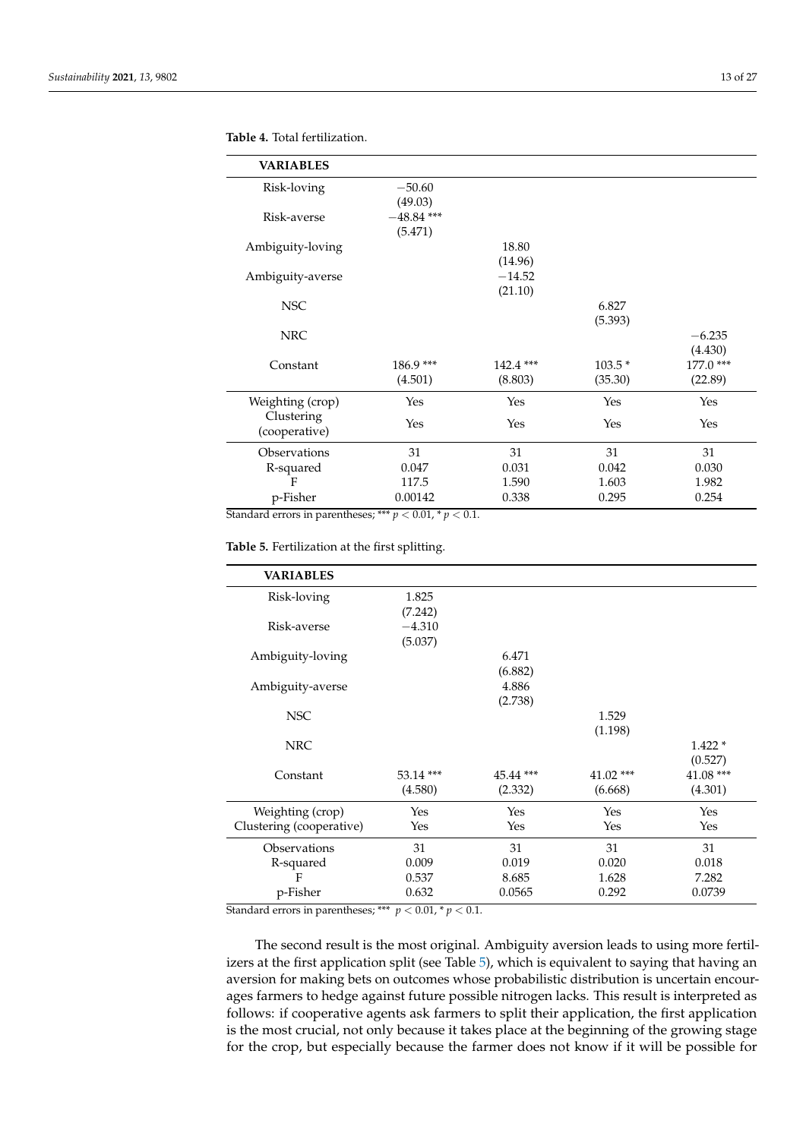| <b>VARIABLES</b>            |                         |                        |                     |                                 |
|-----------------------------|-------------------------|------------------------|---------------------|---------------------------------|
| Risk-loving                 | $-50.60$<br>(49.03)     |                        |                     |                                 |
| Risk-averse                 | $-48.84$ ***<br>(5.471) |                        |                     |                                 |
| Ambiguity-loving            |                         | 18.80                  |                     |                                 |
|                             |                         | (14.96)<br>$-14.52$    |                     |                                 |
| Ambiguity-averse            |                         | (21.10)                |                     |                                 |
| <b>NSC</b>                  |                         |                        | 6.827<br>(5.393)    |                                 |
| <b>NRC</b>                  |                         |                        |                     | $-6.235$                        |
| Constant                    | 186.9***<br>(4.501)     | $142.4$ ***<br>(8.803) | $103.5*$<br>(35.30) | (4.430)<br>177.0 ***<br>(22.89) |
| Weighting (crop)            | Yes                     | Yes                    | Yes                 | Yes                             |
| Clustering<br>(cooperative) | Yes                     | Yes                    | Yes                 | Yes                             |
| Observations                | 31                      | 31                     | 31                  | 31                              |
| R-squared                   | 0.047                   | 0.031                  | 0.042               | 0.030                           |
| F                           | 117.5                   | 1.590                  | 1.603               | 1.982                           |
| p-Fisher                    | 0.00142                 | 0.338                  | 0.295               | 0.254                           |

#### <span id="page-12-0"></span>**Table 4.** Total fertilization.

Standard errors in parentheses; \*\*\*  $p < 0.01$ , \*  $p < 0.1$ .

<span id="page-12-1"></span>**Table 5.** Fertilization at the first splitting.

| <b>VARIABLES</b>         |            |           |             |           |
|--------------------------|------------|-----------|-------------|-----------|
| Risk-loving              | 1.825      |           |             |           |
|                          | (7.242)    |           |             |           |
| Risk-averse              | $-4.310$   |           |             |           |
|                          | (5.037)    |           |             |           |
| Ambiguity-loving         |            | 6.471     |             |           |
|                          |            | (6.882)   |             |           |
| Ambiguity-averse         |            | 4.886     |             |           |
|                          |            | (2.738)   |             |           |
| <b>NSC</b>               |            |           | 1.529       |           |
|                          |            |           | (1.198)     |           |
| <b>NRC</b>               |            |           |             | $1.422*$  |
|                          |            |           |             | (0.527)   |
| Constant                 | $53.14***$ | 45.44 *** | $41.02$ *** | 41.08 *** |
|                          | (4.580)    | (2.332)   | (6.668)     | (4.301)   |
| Weighting (crop)         | Yes        | Yes       | Yes         | Yes       |
| Clustering (cooperative) | Yes        | Yes       | Yes         | Yes       |
| Observations             | 31         | 31        | 31          | 31        |
| R-squared                | 0.009      | 0.019     | 0.020       | 0.018     |
| F                        | 0.537      | 8.685     | 1.628       | 7.282     |
| p-Fisher                 | 0.632      | 0.0565    | 0.292       | 0.0739    |

Standard errors in parentheses; \*\*\*  $p < 0.01$ , \*  $p < 0.1$ .

The second result is the most original. Ambiguity aversion leads to using more fertilizers at the first application split (see Table [5\)](#page-12-1), which is equivalent to saying that having an aversion for making bets on outcomes whose probabilistic distribution is uncertain encourages farmers to hedge against future possible nitrogen lacks. This result is interpreted as follows: if cooperative agents ask farmers to split their application, the first application is the most crucial, not only because it takes place at the beginning of the growing stage for the crop, but especially because the farmer does not know if it will be possible for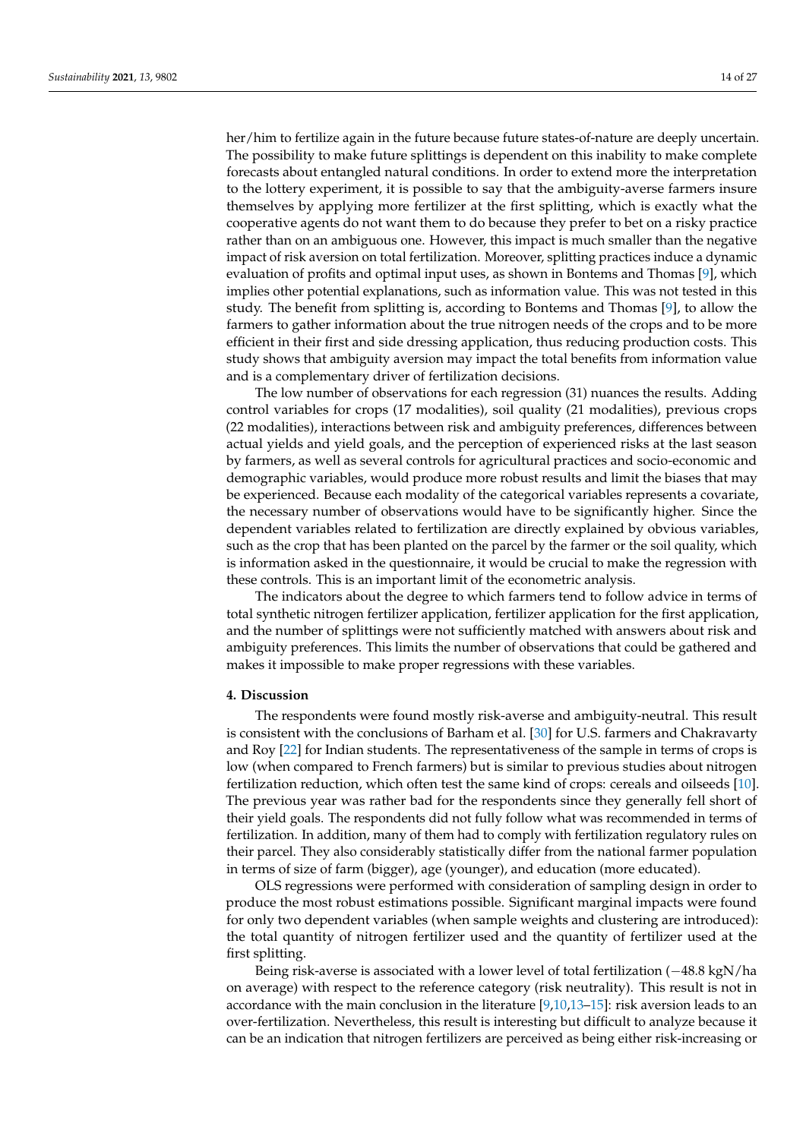her/him to fertilize again in the future because future states-of-nature are deeply uncertain. The possibility to make future splittings is dependent on this inability to make complete forecasts about entangled natural conditions. In order to extend more the interpretation to the lottery experiment, it is possible to say that the ambiguity-averse farmers insure themselves by applying more fertilizer at the first splitting, which is exactly what the cooperative agents do not want them to do because they prefer to bet on a risky practice rather than on an ambiguous one. However, this impact is much smaller than the negative impact of risk aversion on total fertilization. Moreover, splitting practices induce a dynamic evaluation of profits and optimal input uses, as shown in Bontems and Thomas [\[9\]](#page-25-2), which implies other potential explanations, such as information value. This was not tested in this study. The benefit from splitting is, according to Bontems and Thomas [\[9\]](#page-25-2), to allow the farmers to gather information about the true nitrogen needs of the crops and to be more efficient in their first and side dressing application, thus reducing production costs. This study shows that ambiguity aversion may impact the total benefits from information value and is a complementary driver of fertilization decisions.

The low number of observations for each regression (31) nuances the results. Adding control variables for crops (17 modalities), soil quality (21 modalities), previous crops (22 modalities), interactions between risk and ambiguity preferences, differences between actual yields and yield goals, and the perception of experienced risks at the last season by farmers, as well as several controls for agricultural practices and socio-economic and demographic variables, would produce more robust results and limit the biases that may be experienced. Because each modality of the categorical variables represents a covariate, the necessary number of observations would have to be significantly higher. Since the dependent variables related to fertilization are directly explained by obvious variables, such as the crop that has been planted on the parcel by the farmer or the soil quality, which is information asked in the questionnaire, it would be crucial to make the regression with these controls. This is an important limit of the econometric analysis.

The indicators about the degree to which farmers tend to follow advice in terms of total synthetic nitrogen fertilizer application, fertilizer application for the first application, and the number of splittings were not sufficiently matched with answers about risk and ambiguity preferences. This limits the number of observations that could be gathered and makes it impossible to make proper regressions with these variables.

#### <span id="page-13-0"></span>**4. Discussion**

The respondents were found mostly risk-averse and ambiguity-neutral. This result is consistent with the conclusions of Barham et al. [\[30\]](#page-25-23) for U.S. farmers and Chakravarty and Roy [\[22\]](#page-25-15) for Indian students. The representativeness of the sample in terms of crops is low (when compared to French farmers) but is similar to previous studies about nitrogen fertilization reduction, which often test the same kind of crops: cereals and oilseeds [\[10\]](#page-25-3). The previous year was rather bad for the respondents since they generally fell short of their yield goals. The respondents did not fully follow what was recommended in terms of fertilization. In addition, many of them had to comply with fertilization regulatory rules on their parcel. They also considerably statistically differ from the national farmer population in terms of size of farm (bigger), age (younger), and education (more educated).

OLS regressions were performed with consideration of sampling design in order to produce the most robust estimations possible. Significant marginal impacts were found for only two dependent variables (when sample weights and clustering are introduced): the total quantity of nitrogen fertilizer used and the quantity of fertilizer used at the first splitting.

Being risk-averse is associated with a lower level of total fertilization (−48.8 kgN/ha on average) with respect to the reference category (risk neutrality). This result is not in accordance with the main conclusion in the literature  $[9,10,13-15]$  $[9,10,13-15]$  $[9,10,13-15]$  $[9,10,13-15]$ : risk aversion leads to an over-fertilization. Nevertheless, this result is interesting but difficult to analyze because it can be an indication that nitrogen fertilizers are perceived as being either risk-increasing or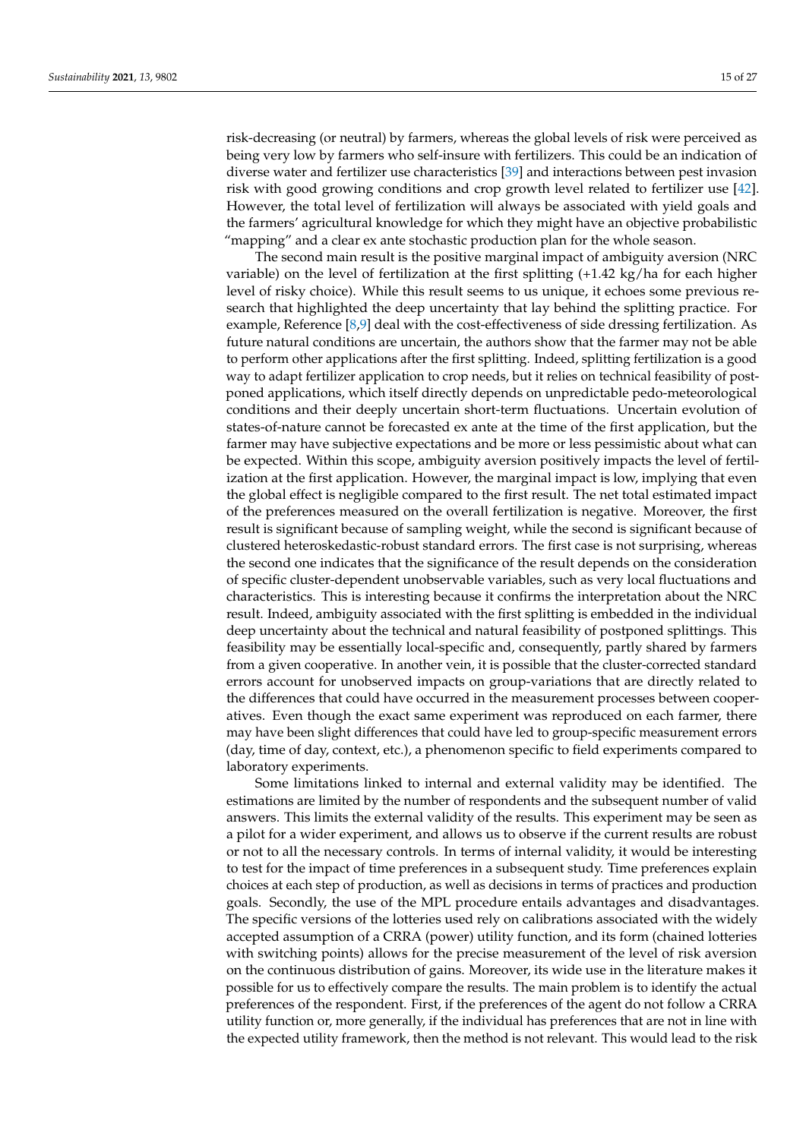risk-decreasing (or neutral) by farmers, whereas the global levels of risk were perceived as being very low by farmers who self-insure with fertilizers. This could be an indication of diverse water and fertilizer use characteristics [\[39\]](#page-26-1) and interactions between pest invasion risk with good growing conditions and crop growth level related to fertilizer use [\[42\]](#page-26-4). However, the total level of fertilization will always be associated with yield goals and the farmers' agricultural knowledge for which they might have an objective probabilistic "mapping" and a clear ex ante stochastic production plan for the whole season.

The second main result is the positive marginal impact of ambiguity aversion (NRC variable) on the level of fertilization at the first splitting (+1.42 kg/ha for each higher level of risky choice). While this result seems to us unique, it echoes some previous research that highlighted the deep uncertainty that lay behind the splitting practice. For example, Reference [\[8](#page-25-1)[,9\]](#page-25-2) deal with the cost-effectiveness of side dressing fertilization. As future natural conditions are uncertain, the authors show that the farmer may not be able to perform other applications after the first splitting. Indeed, splitting fertilization is a good way to adapt fertilizer application to crop needs, but it relies on technical feasibility of postponed applications, which itself directly depends on unpredictable pedo-meteorological conditions and their deeply uncertain short-term fluctuations. Uncertain evolution of states-of-nature cannot be forecasted ex ante at the time of the first application, but the farmer may have subjective expectations and be more or less pessimistic about what can be expected. Within this scope, ambiguity aversion positively impacts the level of fertilization at the first application. However, the marginal impact is low, implying that even the global effect is negligible compared to the first result. The net total estimated impact of the preferences measured on the overall fertilization is negative. Moreover, the first result is significant because of sampling weight, while the second is significant because of clustered heteroskedastic-robust standard errors. The first case is not surprising, whereas the second one indicates that the significance of the result depends on the consideration of specific cluster-dependent unobservable variables, such as very local fluctuations and characteristics. This is interesting because it confirms the interpretation about the NRC result. Indeed, ambiguity associated with the first splitting is embedded in the individual deep uncertainty about the technical and natural feasibility of postponed splittings. This feasibility may be essentially local-specific and, consequently, partly shared by farmers from a given cooperative. In another vein, it is possible that the cluster-corrected standard errors account for unobserved impacts on group-variations that are directly related to the differences that could have occurred in the measurement processes between cooperatives. Even though the exact same experiment was reproduced on each farmer, there may have been slight differences that could have led to group-specific measurement errors (day, time of day, context, etc.), a phenomenon specific to field experiments compared to laboratory experiments.

Some limitations linked to internal and external validity may be identified. The estimations are limited by the number of respondents and the subsequent number of valid answers. This limits the external validity of the results. This experiment may be seen as a pilot for a wider experiment, and allows us to observe if the current results are robust or not to all the necessary controls. In terms of internal validity, it would be interesting to test for the impact of time preferences in a subsequent study. Time preferences explain choices at each step of production, as well as decisions in terms of practices and production goals. Secondly, the use of the MPL procedure entails advantages and disadvantages. The specific versions of the lotteries used rely on calibrations associated with the widely accepted assumption of a CRRA (power) utility function, and its form (chained lotteries with switching points) allows for the precise measurement of the level of risk aversion on the continuous distribution of gains. Moreover, its wide use in the literature makes it possible for us to effectively compare the results. The main problem is to identify the actual preferences of the respondent. First, if the preferences of the agent do not follow a CRRA utility function or, more generally, if the individual has preferences that are not in line with the expected utility framework, then the method is not relevant. This would lead to the risk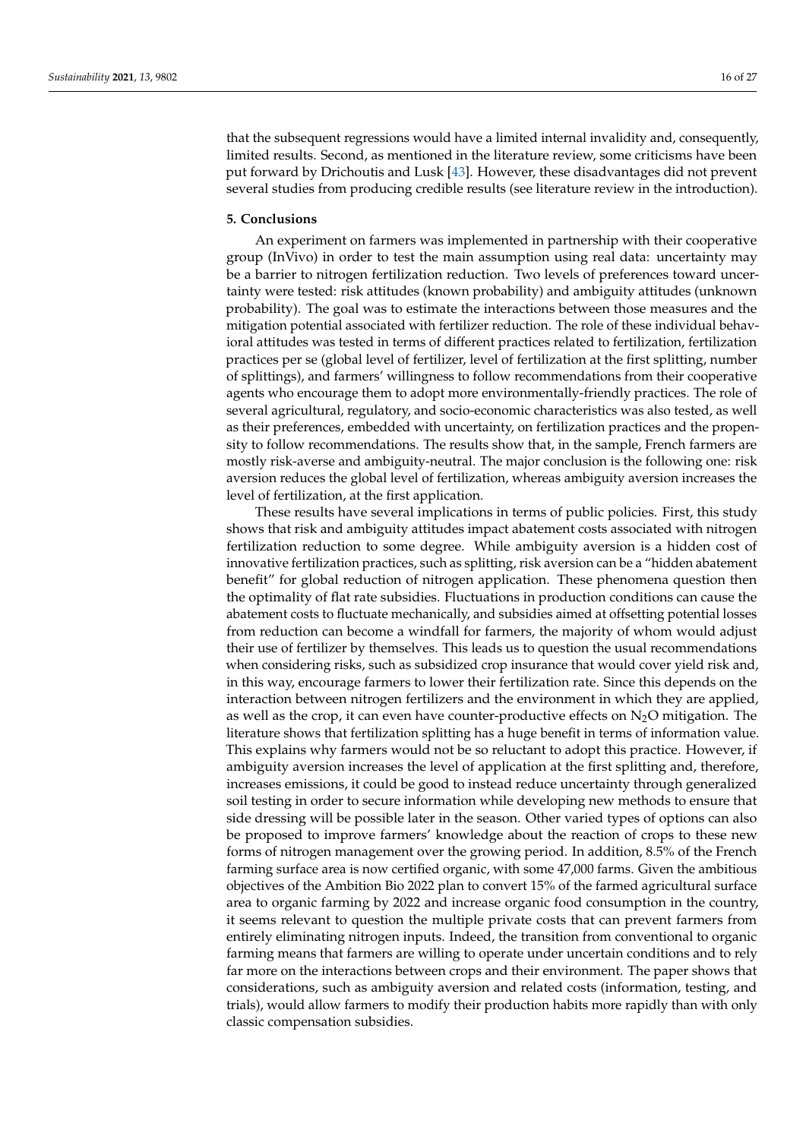that the subsequent regressions would have a limited internal invalidity and, consequently, limited results. Second, as mentioned in the literature review, some criticisms have been put forward by Drichoutis and Lusk [\[43\]](#page-26-5). However, these disadvantages did not prevent several studies from producing credible results (see literature review in the introduction).

#### <span id="page-15-0"></span>**5. Conclusions**

An experiment on farmers was implemented in partnership with their cooperative group (InVivo) in order to test the main assumption using real data: uncertainty may be a barrier to nitrogen fertilization reduction. Two levels of preferences toward uncertainty were tested: risk attitudes (known probability) and ambiguity attitudes (unknown probability). The goal was to estimate the interactions between those measures and the mitigation potential associated with fertilizer reduction. The role of these individual behavioral attitudes was tested in terms of different practices related to fertilization, fertilization practices per se (global level of fertilizer, level of fertilization at the first splitting, number of splittings), and farmers' willingness to follow recommendations from their cooperative agents who encourage them to adopt more environmentally-friendly practices. The role of several agricultural, regulatory, and socio-economic characteristics was also tested, as well as their preferences, embedded with uncertainty, on fertilization practices and the propensity to follow recommendations. The results show that, in the sample, French farmers are mostly risk-averse and ambiguity-neutral. The major conclusion is the following one: risk aversion reduces the global level of fertilization, whereas ambiguity aversion increases the level of fertilization, at the first application.

These results have several implications in terms of public policies. First, this study shows that risk and ambiguity attitudes impact abatement costs associated with nitrogen fertilization reduction to some degree. While ambiguity aversion is a hidden cost of innovative fertilization practices, such as splitting, risk aversion can be a "hidden abatement benefit" for global reduction of nitrogen application. These phenomena question then the optimality of flat rate subsidies. Fluctuations in production conditions can cause the abatement costs to fluctuate mechanically, and subsidies aimed at offsetting potential losses from reduction can become a windfall for farmers, the majority of whom would adjust their use of fertilizer by themselves. This leads us to question the usual recommendations when considering risks, such as subsidized crop insurance that would cover yield risk and, in this way, encourage farmers to lower their fertilization rate. Since this depends on the interaction between nitrogen fertilizers and the environment in which they are applied, as well as the crop, it can even have counter-productive effects on  $N_2O$  mitigation. The literature shows that fertilization splitting has a huge benefit in terms of information value. This explains why farmers would not be so reluctant to adopt this practice. However, if ambiguity aversion increases the level of application at the first splitting and, therefore, increases emissions, it could be good to instead reduce uncertainty through generalized soil testing in order to secure information while developing new methods to ensure that side dressing will be possible later in the season. Other varied types of options can also be proposed to improve farmers' knowledge about the reaction of crops to these new forms of nitrogen management over the growing period. In addition, 8.5% of the French farming surface area is now certified organic, with some 47,000 farms. Given the ambitious objectives of the Ambition Bio 2022 plan to convert 15% of the farmed agricultural surface area to organic farming by 2022 and increase organic food consumption in the country, it seems relevant to question the multiple private costs that can prevent farmers from entirely eliminating nitrogen inputs. Indeed, the transition from conventional to organic farming means that farmers are willing to operate under uncertain conditions and to rely far more on the interactions between crops and their environment. The paper shows that considerations, such as ambiguity aversion and related costs (information, testing, and trials), would allow farmers to modify their production habits more rapidly than with only classic compensation subsidies.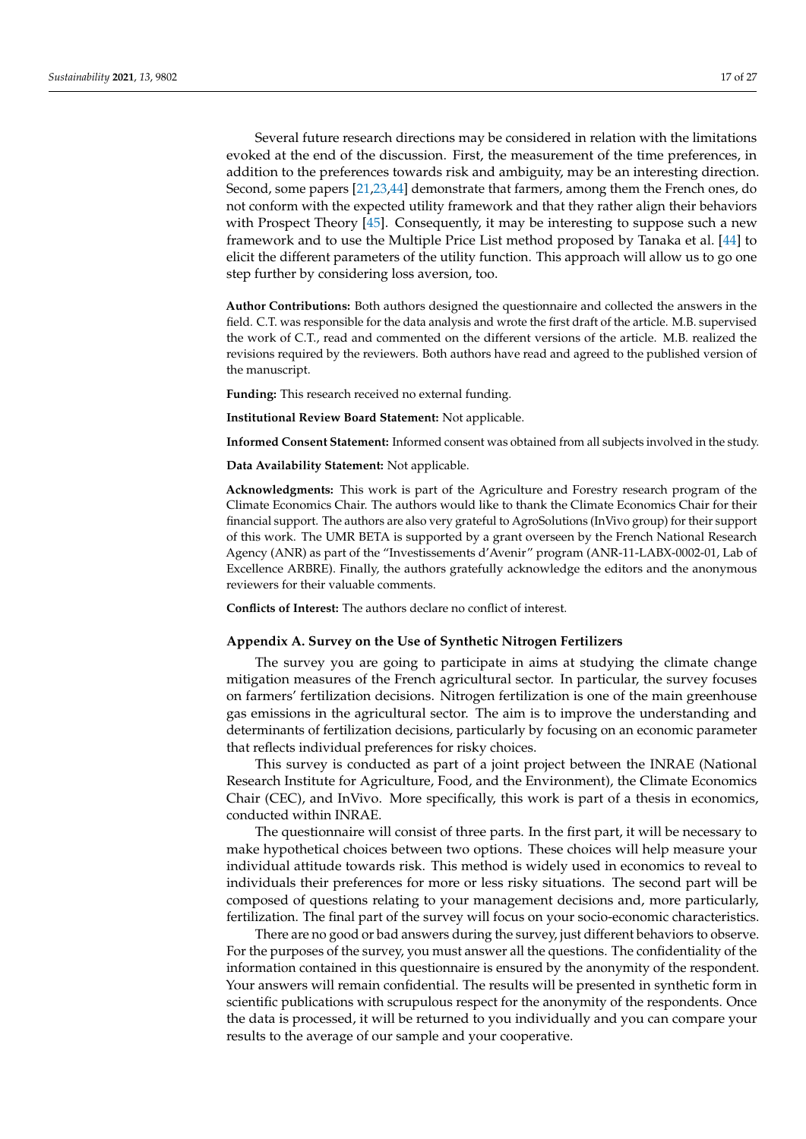Several future research directions may be considered in relation with the limitations evoked at the end of the discussion. First, the measurement of the time preferences, in addition to the preferences towards risk and ambiguity, may be an interesting direction. Second, some papers [\[21](#page-25-14)[,23](#page-25-16)[,44\]](#page-26-6) demonstrate that farmers, among them the French ones, do not conform with the expected utility framework and that they rather align their behaviors with Prospect Theory [\[45\]](#page-26-7). Consequently, it may be interesting to suppose such a new framework and to use the Multiple Price List method proposed by Tanaka et al. [\[44\]](#page-26-6) to elicit the different parameters of the utility function. This approach will allow us to go one step further by considering loss aversion, too.

**Author Contributions:** Both authors designed the questionnaire and collected the answers in the field. C.T. was responsible for the data analysis and wrote the first draft of the article. M.B. supervised the work of C.T., read and commented on the different versions of the article. M.B. realized the revisions required by the reviewers. Both authors have read and agreed to the published version of the manuscript.

**Funding:** This research received no external funding.

**Institutional Review Board Statement:** Not applicable.

**Informed Consent Statement:** Informed consent was obtained from all subjects involved in the study.

**Data Availability Statement:** Not applicable.

**Acknowledgments:** This work is part of the Agriculture and Forestry research program of the Climate Economics Chair. The authors would like to thank the Climate Economics Chair for their financial support. The authors are also very grateful to AgroSolutions (InVivo group) for their support of this work. The UMR BETA is supported by a grant overseen by the French National Research Agency (ANR) as part of the "Investissements d'Avenir" program (ANR-11-LABX-0002-01, Lab of Excellence ARBRE). Finally, the authors gratefully acknowledge the editors and the anonymous reviewers for their valuable comments.

**Conflicts of Interest:** The authors declare no conflict of interest.

#### <span id="page-16-0"></span>**Appendix A. Survey on the Use of Synthetic Nitrogen Fertilizers**

The survey you are going to participate in aims at studying the climate change mitigation measures of the French agricultural sector. In particular, the survey focuses on farmers' fertilization decisions. Nitrogen fertilization is one of the main greenhouse gas emissions in the agricultural sector. The aim is to improve the understanding and determinants of fertilization decisions, particularly by focusing on an economic parameter that reflects individual preferences for risky choices.

This survey is conducted as part of a joint project between the INRAE (National Research Institute for Agriculture, Food, and the Environment), the Climate Economics Chair (CEC), and InVivo. More specifically, this work is part of a thesis in economics, conducted within INRAE.

The questionnaire will consist of three parts. In the first part, it will be necessary to make hypothetical choices between two options. These choices will help measure your individual attitude towards risk. This method is widely used in economics to reveal to individuals their preferences for more or less risky situations. The second part will be composed of questions relating to your management decisions and, more particularly, fertilization. The final part of the survey will focus on your socio-economic characteristics.

There are no good or bad answers during the survey, just different behaviors to observe. For the purposes of the survey, you must answer all the questions. The confidentiality of the information contained in this questionnaire is ensured by the anonymity of the respondent. Your answers will remain confidential. The results will be presented in synthetic form in scientific publications with scrupulous respect for the anonymity of the respondents. Once the data is processed, it will be returned to you individually and you can compare your results to the average of our sample and your cooperative.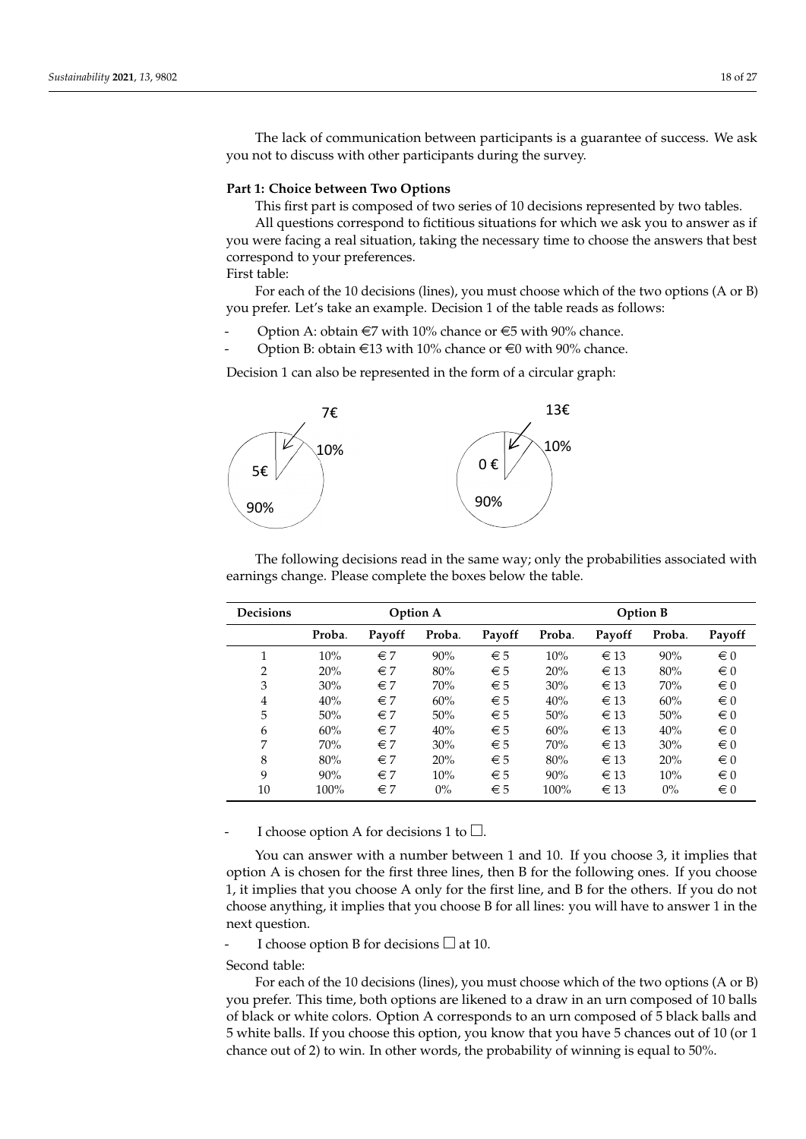The lack of communication between participants is a guarantee of success. We ask you not to discuss with other participants during the survey.

## **Part 1: Choice between Two Options**

This first part is composed of two series of 10 decisions represented by two tables.

All questions correspond to fictitious situations for which we ask you to answer as if you were facing a real situation, taking the necessary time to choose the answers that best correspond to your preferences.

First table:

For each of the 10 decisions (lines), you must choose which of the two options (A or B) you prefer. Let's take an example. Decision 1 of the table reads as follows:

- Option A: obtain  $\text{\large} \in$ 7 with 10% chance or  $\text{\large} \in$ 5 with 90% chance.
- Option B: obtain  $\in$ 13 with 10% chance or  $\in$ 0 with 90% chance.

Decision 1 can also be represented in the form of a circular graph:



The following decisions read in the same way; only the probabilities associated with earnings change. Please complete the boxes below the table.

| <b>Decisions</b> | <b>Option A</b> |              |        |              |        |          | <b>Option B</b> |         |
|------------------|-----------------|--------------|--------|--------------|--------|----------|-----------------|---------|
|                  | Proba.          | Payoff       | Proba. | Payoff       | Proba. | Payoff   | Proba.          | Payoff  |
| 1                | 10%             | $\epsilon$ 7 | 90%    | $\epsilon$ 5 | 10%    | $\in$ 13 | 90%             | $\in 0$ |
| 2                | 20%             | $\epsilon$ 7 | 80%    | $\epsilon$ 5 | 20%    | $\in$ 13 | 80%             | $\in 0$ |
| 3                | 30%             | $\in$ 7      | 70%    | $\epsilon$ 5 | 30%    | $\in$ 13 | 70%             | $\in 0$ |
| 4                | 40%             | $\in$ 7      | 60%    | $\epsilon$ 5 | 40%    | $\in$ 13 | 60%             | $\in 0$ |
| 5                | 50%             | $\epsilon$ 7 | 50%    | $\epsilon$ 5 | 50%    | $\in$ 13 | 50%             | $\in 0$ |
| 6                | 60%             | $\epsilon$ 7 | 40%    | $\epsilon$ 5 | 60%    | $\in$ 13 | 40%             | $\in 0$ |
| 7                | 70%             | $\epsilon$ 7 | 30%    | $\epsilon$ 5 | 70%    | $\in$ 13 | 30%             | $\in 0$ |
| 8                | 80%             | $\epsilon$ 7 | 20%    | $\epsilon$ 5 | 80%    | $\in$ 13 | 20%             | $\in 0$ |
| 9                | 90%             | $\epsilon$ 7 | 10%    | $\epsilon$ 5 | 90%    | $\in$ 13 | 10%             | $\in 0$ |
| 10               | 100%            | $\in$ 7      | $0\%$  | $\epsilon$ 5 | 100%   | $\in$ 13 | $0\%$           | $\in 0$ |

I choose option A for decisions 1 to  $\square$ .

You can answer with a number between 1 and 10. If you choose 3, it implies that option A is chosen for the first three lines, then B for the following ones. If you choose 1, it implies that you choose A only for the first line, and B for the others. If you do not choose anything, it implies that you choose B for all lines: you will have to answer 1 in the next question.

I choose option B for decisions  $\Box$  at 10.

Second table:

For each of the 10 decisions (lines), you must choose which of the two options (A or B) you prefer. This time, both options are likened to a draw in an urn composed of 10 balls of black or white colors. Option A corresponds to an urn composed of 5 black balls and 5 white balls. If you choose this option, you know that you have 5 chances out of 10 (or 1 chance out of 2) to win. In other words, the probability of winning is equal to 50%.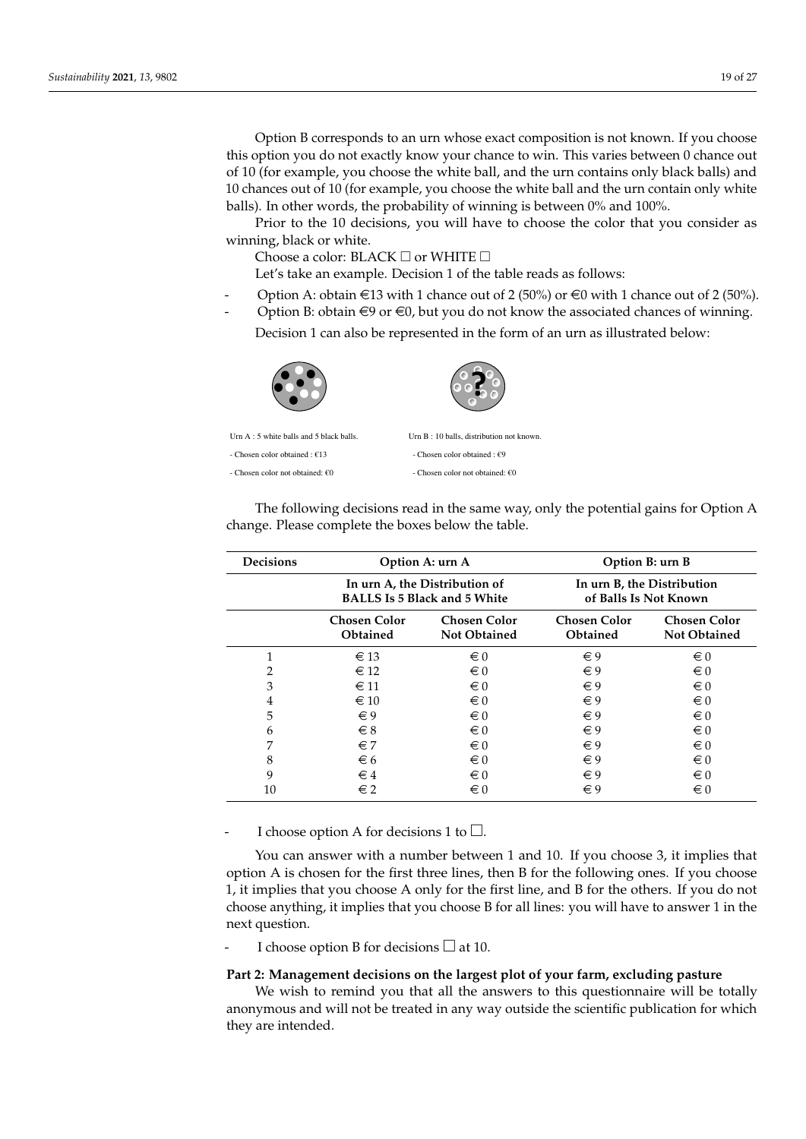Option B corresponds to an urn whose exact composition is not known. If you choose this option you do not exactly know your chance to win. This varies between 0 chance out of 10 (for example, you choose the white ball, and the urn contains only black balls) and 10 chances out of 10 (for example, you choose the white ball and the urn contain only white balls). In other words, the probability of winning is between 0% and 100%.

Prior to the 10 decisions, you will have to choose the color that you consider as winning, black or white.

Choose a color: BLACK  $\Box$  or WHITE  $\Box$ 

Let's take an example. Decision 1 of the table reads as follows:

- Option A: obtain  $\epsilon$ 13 with 1 chance out of 2 (50%) or  $\epsilon$ 0 with 1 chance out of 2 (50%).
- Option B: obtain  $\in$ 9 or  $\in$ 0, but you do not know the associated chances of winning.

Decision 1 can also be represented in the form of an urn as illustrated below:



Urn A : 5 white balls and 5 black balls. Urn B : 10 balls, distribution not known

**?**

- Chosen color obtained :  $€13$  - Chosen color obtained :  $€9$ 

- Chosen color not obtained:  $f(0)$  - Chosen color not obtained:  $f(0)$ 

**Decisions Option A: urn A Option B: urn B In urn A, the Distribution of In urn B, the Distribution BALLS Is 5 Black and 5 White of Balls Is Not Known Chosen Color Chosen Color Chosen Color Chosen Color Obtained Not Obtained Obtained Not Obtained**  $\epsilon$  13  $\epsilon$  0  $\epsilon$  9  $\epsilon$  0  $\epsilon$  12  $\epsilon$  0  $\epsilon$  9  $\epsilon$  0  $\epsilon$  11  $\epsilon$  0  $\epsilon$  9  $\epsilon$  0  $\epsilon$  10  $\epsilon$  0  $\epsilon$  9  $\epsilon$  0  $\epsilon$ 9  $\epsilon$ 0  $\epsilon$ 9  $\epsilon$ 0  $\epsilon$ 9  $\epsilon$ 0  $\epsilon \in \mathbf{8}$   $\epsilon \in \mathbf{0}$   $\epsilon \in \mathbf{9}$   $\epsilon \in \mathbf{0}$  $\epsilon$ 7  $\epsilon$ 0  $\epsilon$ 9  $\epsilon$ 0  $\epsilon$  $\epsilon_6$   $\epsilon_0$   $\epsilon_9$   $\epsilon_0$  $\epsilon \in 4$   $\epsilon \in 0$   $\epsilon \in 9$   $\epsilon \in 0$  $\epsilon$  2  $\epsilon$  0  $\epsilon$  9  $\epsilon$  0

The following decisions read in the same way, only the potential gains for Option A change. Please complete the boxes below the table.

I choose option A for decisions 1 to  $\square$ .

You can answer with a number between 1 and 10. If you choose 3, it implies that option A is chosen for the first three lines, then B for the following ones. If you choose 1, it implies that you choose A only for the first line, and B for the others. If you do not choose anything, it implies that you choose B for all lines: you will have to answer 1 in the next question.

I choose option B for decisions  $\Box$  at 10.

#### **Part 2: Management decisions on the largest plot of your farm, excluding pasture**

We wish to remind you that all the answers to this questionnaire will be totally anonymous and will not be treated in any way outside the scientific publication for which they are intended.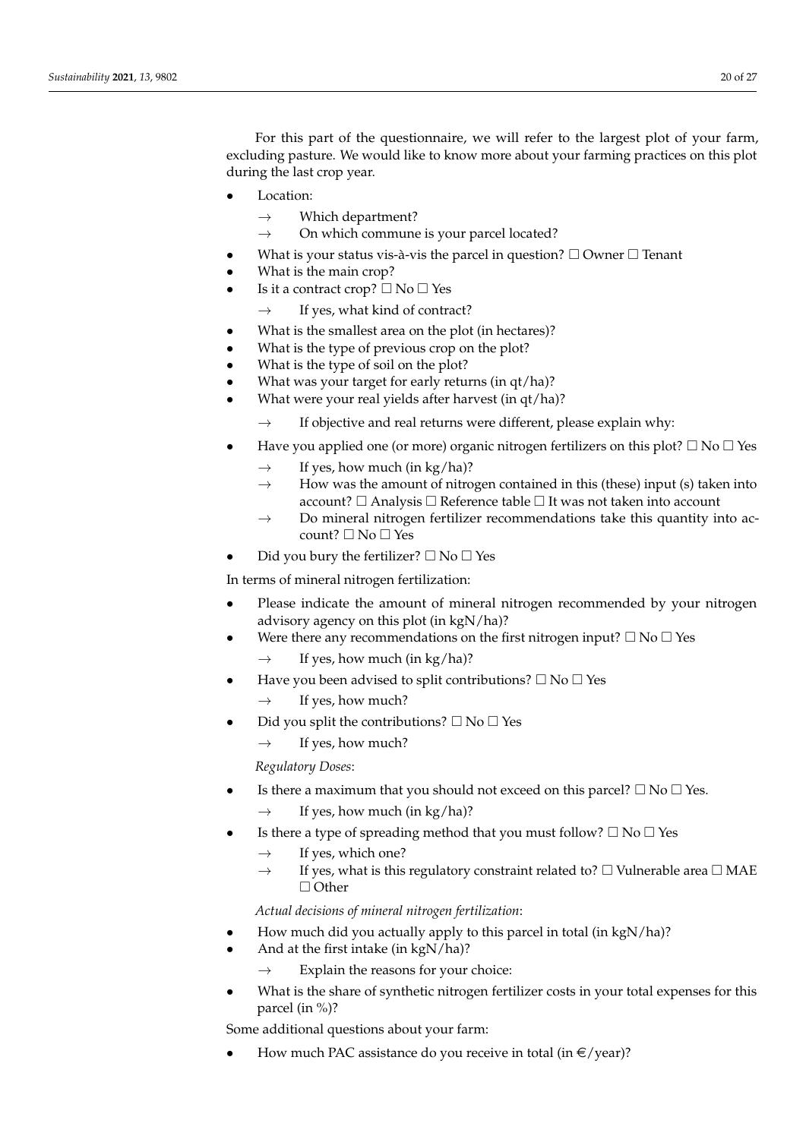For this part of the questionnaire, we will refer to the largest plot of your farm, excluding pasture. We would like to know more about your farming practices on this plot during the last crop year.

- Location:
	- $\rightarrow$  Which department?
	- $\rightarrow$  On which commune is your parcel located?
- What is your status vis-à-vis the parcel in question?  $\Box$  Owner  $\Box$  Tenant
- What is the main crop?
- Is it a contract crop?  $\Box$  No  $\Box$  Yes
	- $\rightarrow$  If yes, what kind of contract?
- What is the smallest area on the plot (in hectares)?
- What is the type of previous crop on the plot?
- What is the type of soil on the plot?
- What was your target for early returns (in qt/ha)?
- What were your real yields after harvest (in qt/ha)?
	- $\rightarrow$  If objective and real returns were different, please explain why:
- Have you applied one (or more) organic nitrogen fertilizers on this plot?  $\Box$  No  $\Box$  Yes
	- $\rightarrow$  If yes, how much (in kg/ha)?
	- $\rightarrow$  How was the amount of nitrogen contained in this (these) input (s) taken into account?  $\Box$  Analysis  $\Box$  Reference table  $\Box$  It was not taken into account
	- $\rightarrow$  Do mineral nitrogen fertilizer recommendations take this quantity into account?  $\square$  No  $\square$  Yes
- Did you bury the fertilizer?  $\square$  No  $\square$  Yes

In terms of mineral nitrogen fertilization:

- Please indicate the amount of mineral nitrogen recommended by your nitrogen advisory agency on this plot (in kgN/ha)?
	- Were there any recommendations on the first nitrogen input?  $\Box$  No  $\Box$  Yes
		- $\rightarrow$  If yes, how much (in kg/ha)?
- Have you been advised to split contributions?  $\square$  No  $\square$  Yes
	- $\rightarrow$  If yes, how much?
- Did you split the contributions?  $\square$  No  $\square$  Yes
	- $\rightarrow$  If yes, how much?

*Regulatory Doses*:

- Is there a maximum that you should not exceed on this parcel?  $\Box$  No  $\Box$  Yes.
	- $\rightarrow$  If yes, how much (in kg/ha)?
- Is there a type of spreading method that you must follow?  $\square$  No  $\square$  Yes
	- $\rightarrow$  If yes, which one?
	- $\rightarrow$  If yes, what is this regulatory constraint related to?  $\Box$  Vulnerable area  $\Box$  MAE  $\Box$  Other

*Actual decisions of mineral nitrogen fertilization*:

- How much did you actually apply to this parcel in total (in kgN/ha)?
- And at the first intake (in kgN/ha)?
	- Explain the reasons for your choice:
- What is the share of synthetic nitrogen fertilizer costs in your total expenses for this parcel (in %)?

Some additional questions about your farm:

How much PAC assistance do you receive in total (in  $\epsilon$ /year)?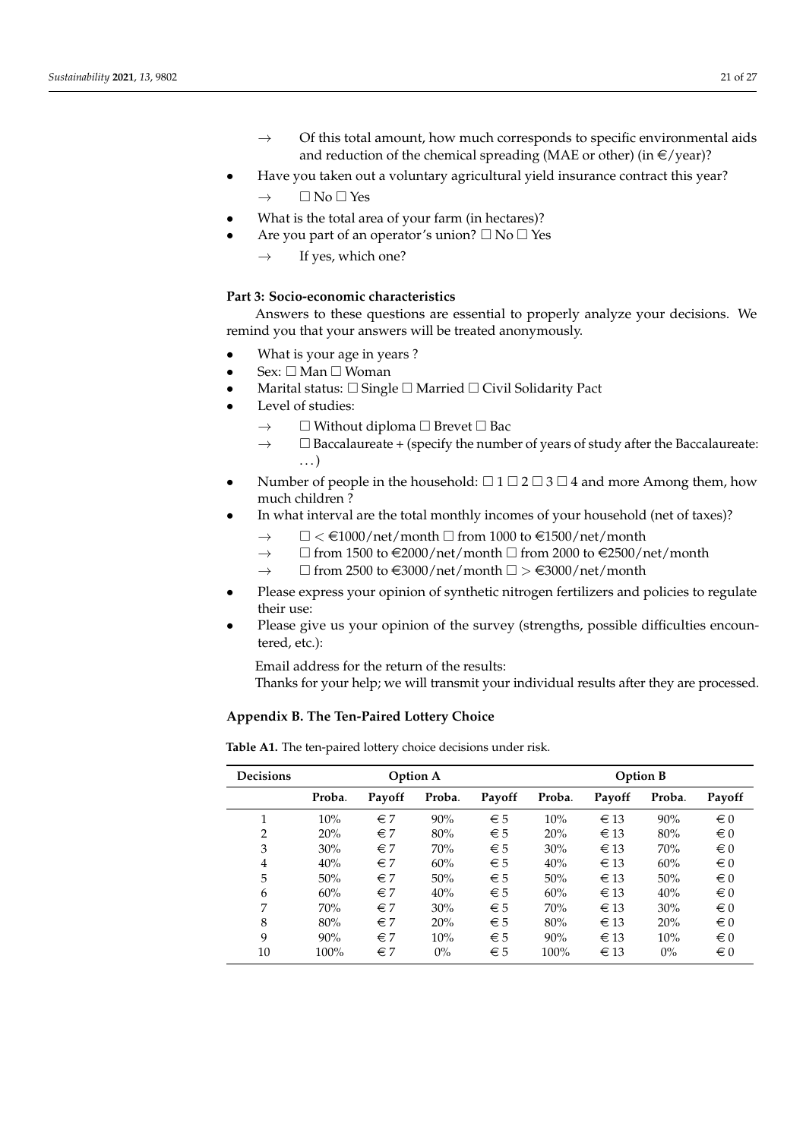- $\rightarrow$  Of this total amount, how much corresponds to specific environmental aids and reduction of the chemical spreading (MAE or other) (in  $\epsilon$ /year)?
- Have you taken out a voluntary agricultural yield insurance contract this year?
	- $\rightarrow$   $\Box$  No  $\Box$  Yes
- What is the total area of your farm (in hectares)?
	- Are you part of an operator's union?  $\square$  No  $\square$  Yes
		- $\rightarrow$  If yes, which one?

# **Part 3: Socio-economic characteristics**

Answers to these questions are essential to properly analyze your decisions. We remind you that your answers will be treated anonymously.

- What is your age in years ?
- $Sex: \Box$  Man  $\Box$  Woman
- Marital status:  $\Box$  Single  $\Box$  Married  $\Box$  Civil Solidarity Pact
- Level of studies:
	- $\rightarrow$   $\Box$  Without diploma  $\Box$  Brevet  $\Box$  Bac
	- $\rightarrow$   $\Box$  Baccalaureate + (specify the number of years of study after the Baccalaureate:  $\ldots$
- Number of people in the household:  $\Box$  1  $\Box$  2  $\Box$  3  $\Box$  4 and more Among them, how much children ?
- In what interval are the total monthly incomes of your household (net of taxes)?
	- $\rightarrow \Box < \text{\textsterling}1000/\text{net}/\text{month} \Box$  from 1000 to  $\text{\textsterling}1500/\text{net}/\text{month}$
	- $\rightarrow$   $\Box$  from 1500 to  $\in$ 2000/net/month  $\Box$  from 2000 to  $\in$ 2500/net/month
	- $\rightarrow$   $\Box$  from 2500 to  $\epsilon$ 3000/net/month  $\Box$  >  $\epsilon$ 3000/net/month
- Please express your opinion of synthetic nitrogen fertilizers and policies to regulate their use:
- Please give us your opinion of the survey (strengths, possible difficulties encountered, etc.):

Email address for the return of the results:

Thanks for your help; we will transmit your individual results after they are processed.

# <span id="page-20-0"></span>**Appendix B. The Ten-Paired Lottery Choice**

| <b>Decisions</b> | <b>Option A</b> |              |        |              |        |          | <b>Option B</b> |         |
|------------------|-----------------|--------------|--------|--------------|--------|----------|-----------------|---------|
|                  | Proba.          | Payoff       | Proba. | Payoff       | Proba. | Payoff   | Proba.          | Payoff  |
|                  | 10%             | $\in 7$      | 90%    | $\in 5$      | 10%    | $\in$ 13 | 90%             | $\in 0$ |
| 2                | 20%             | $\in$ 7      | 80%    | $\epsilon$ 5 | 20%    | $\in$ 13 | 80%             | $\in 0$ |
| 3                | 30%             | $\in$ 7      | 70%    | $\epsilon$ 5 | 30%    | $\in$ 13 | 70%             | $\in 0$ |
| $\overline{4}$   | 40%             | $\in$ 7      | 60%    | $\epsilon$ 5 | 40%    | $\in$ 13 | 60%             | $\in 0$ |
| 5                | 50%             | $\epsilon$ 7 | 50%    | $\epsilon$ 5 | 50%    | $\in$ 13 | 50%             | $\in 0$ |
| 6                | 60%             | $\in$ 7      | 40%    | $\epsilon$ 5 | 60%    | $\in$ 13 | 40%             | $\in 0$ |
| 7                | 70%             | $\in 7$      | 30%    | $\epsilon$ 5 | 70%    | $\in$ 13 | 30%             | $\in 0$ |
| 8                | 80%             | $\in$ 7      | 20%    | $\epsilon$ 5 | 80%    | $\in$ 13 | 20%             | $\in 0$ |
| 9                | 90%             | $\epsilon$ 7 | 10%    | $\epsilon$ 5 | 90%    | $\in$ 13 | 10%             | $\in 0$ |
| 10               | 100%            | $\in$ 7      | $0\%$  | $\epsilon$ 5 | 100%   | $\in$ 13 | $0\%$           | $\in 0$ |
|                  |                 |              |        |              |        |          |                 |         |

**Table A1.** The ten-paired lottery choice decisions under risk.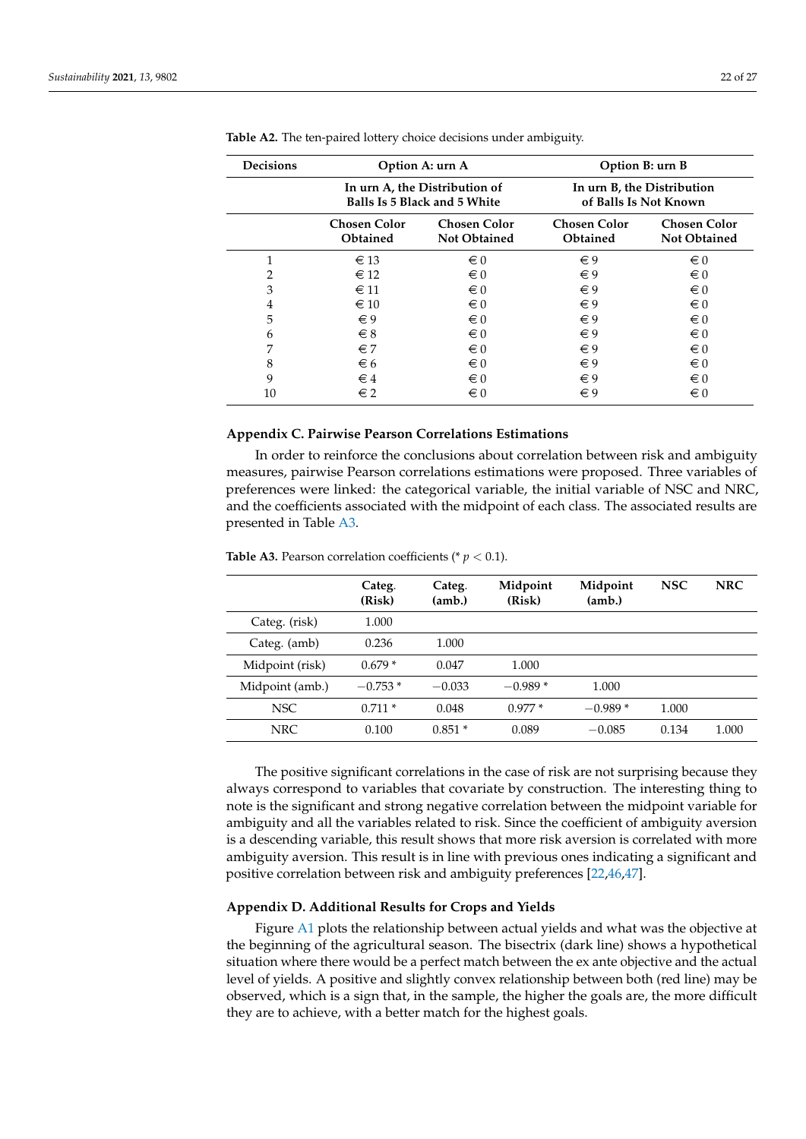| <b>Decisions</b> |                                        | Option A: urn A                                               | Option B: urn B                                     |                                            |
|------------------|----------------------------------------|---------------------------------------------------------------|-----------------------------------------------------|--------------------------------------------|
|                  |                                        | In urn A, the Distribution of<br>Balls Is 5 Black and 5 White | In urn B, the Distribution<br>of Balls Is Not Known |                                            |
|                  | <b>Chosen Color</b><br><b>Obtained</b> | <b>Chosen Color</b><br><b>Not Obtained</b>                    | <b>Chosen Color</b><br><b>Obtained</b>              | <b>Chosen Color</b><br><b>Not Obtained</b> |
|                  | $\epsilon$ 13                          | $\epsilon$ 0                                                  | $\epsilon$ 9                                        | $\epsilon$ 0                               |
| 2                | $\epsilon$ 12                          | $\epsilon$ 0                                                  | $\epsilon$ 9                                        | $\epsilon$ 0                               |
| 3                | $\epsilon$ 11                          | $\epsilon$ 0                                                  | $\in 9$                                             | $\epsilon$ 0                               |
| 4                | $\epsilon$ 10                          | $\epsilon$ 0                                                  | $\epsilon$ 9                                        | $\epsilon$ 0                               |
| 5                | $\epsilon$ 9                           | $\epsilon$ 0                                                  | $\epsilon$ 9                                        | $\epsilon$ 0                               |
| 6                | $\epsilon$ 8                           | $\in 0$                                                       | $\epsilon$ 9                                        | $\epsilon$ 0                               |
| 7                | $\epsilon$ 7                           | $\epsilon$ 0                                                  | $\epsilon$ 9                                        | $\epsilon$ 0                               |
| 8                | $\epsilon$ 6                           | $\epsilon$ 0                                                  | $\epsilon$ 9                                        | $\epsilon$ 0                               |
| 9                | $\in$ 4                                | $\epsilon$ 0                                                  | $\epsilon$ 9                                        | $\epsilon$ 0                               |
| 10               | $\epsilon$ 2                           | $\epsilon$ 0                                                  | $\epsilon$ 9                                        | $\in 0$                                    |

**Table A2.** The ten-paired lottery choice decisions under ambiguity.

# <span id="page-21-0"></span>**Appendix C. Pairwise Pearson Correlations Estimations**

In order to reinforce the conclusions about correlation between risk and ambiguity measures, pairwise Pearson correlations estimations were proposed. Three variables of preferences were linked: the categorical variable, the initial variable of NSC and NRC, and the coefficients associated with the midpoint of each class. The associated results are presented in Table [A3.](#page-21-2)

|                 | Categ.<br>(Risk) | Categ.<br>(amb.) | Midpoint<br>(Risk) | Midpoint<br>(am <sub>b</sub> ) | <b>NSC</b> | <b>NRC</b> |
|-----------------|------------------|------------------|--------------------|--------------------------------|------------|------------|
| Categ. (risk)   | 1.000            |                  |                    |                                |            |            |
| Categ. (amb)    | 0.236            | 1.000            |                    |                                |            |            |
| Midpoint (risk) | $0.679*$         | 0.047            | 1.000              |                                |            |            |
| Midpoint (amb.) | $-0.753*$        | $-0.033$         | $-0.989*$          | 1.000                          |            |            |
| <b>NSC</b>      | $0.711*$         | 0.048            | $0.977*$           | $-0.989*$                      | 1.000      |            |
| NRC             | 0.100            | $0.851*$         | 0.089              | $-0.085$                       | 0.134      | 1.000      |

<span id="page-21-2"></span>**Table A3.** Pearson correlation coefficients ( $p < 0.1$ ).

The positive significant correlations in the case of risk are not surprising because they always correspond to variables that covariate by construction. The interesting thing to note is the significant and strong negative correlation between the midpoint variable for ambiguity and all the variables related to risk. Since the coefficient of ambiguity aversion is a descending variable, this result shows that more risk aversion is correlated with more ambiguity aversion. This result is in line with previous ones indicating a significant and positive correlation between risk and ambiguity preferences [\[22](#page-25-15)[,46,](#page-26-8)[47\]](#page-26-9).

# <span id="page-21-1"></span>**Appendix D. Additional Results for Crops and Yields**

Figure [A1](#page-22-0) plots the relationship between actual yields and what was the objective at the beginning of the agricultural season. The bisectrix (dark line) shows a hypothetical situation where there would be a perfect match between the ex ante objective and the actual level of yields. A positive and slightly convex relationship between both (red line) may be observed, which is a sign that, in the sample, the higher the goals are, the more difficult they are to achieve, with a better match for the highest goals.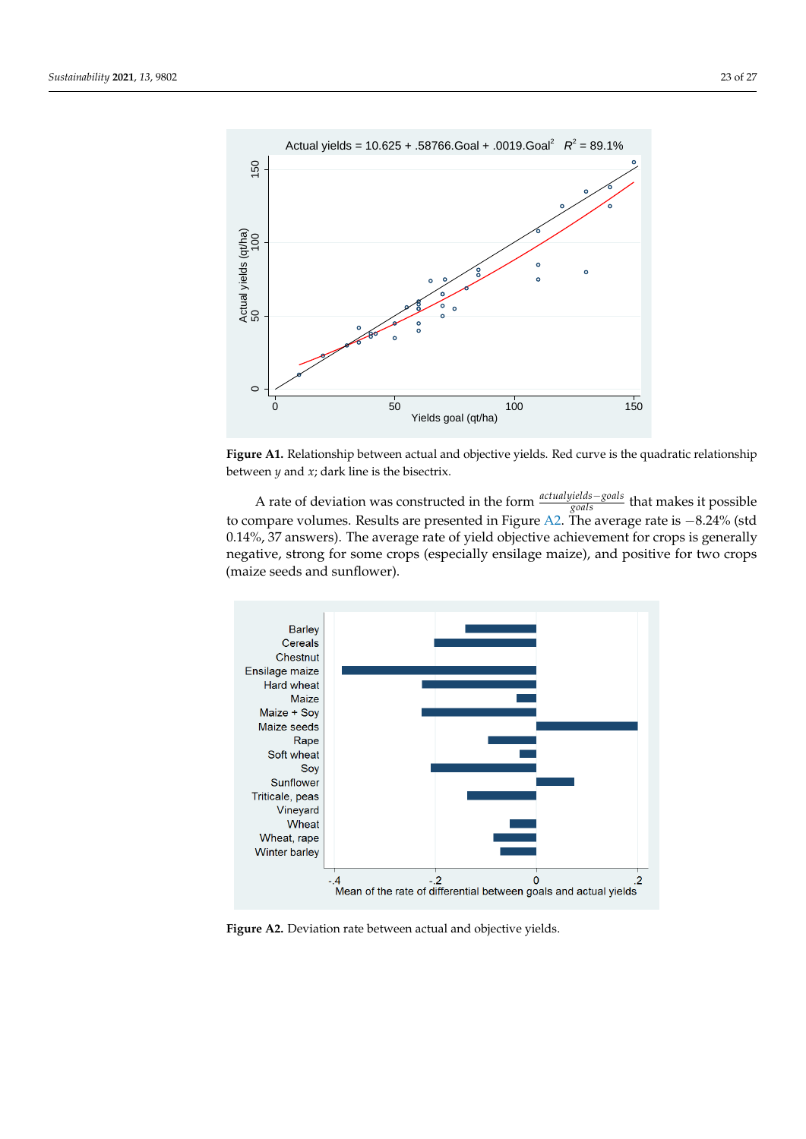<span id="page-22-0"></span>

Figure A1. Relationship between actual and objective yields. Red curve is the quadratic relationship between *y* and *x*; dark line is the bisectrix.

A rate of deviation was constructed in the form *actualyields*−*goals goals* that makes it possible to compare volumes. Results are presented in Figure [A2.](#page-22-1) The average rate is −8.24% (std 0.14%, 37 answers). The average rate of yield objective achievement for crops is generally negative, strong for some crops (especially ensilage maize), and positive for two crops (maize seeds and sunflower).

<span id="page-22-1"></span>

**Figure A2.** Deviation rate between actual and objective yields.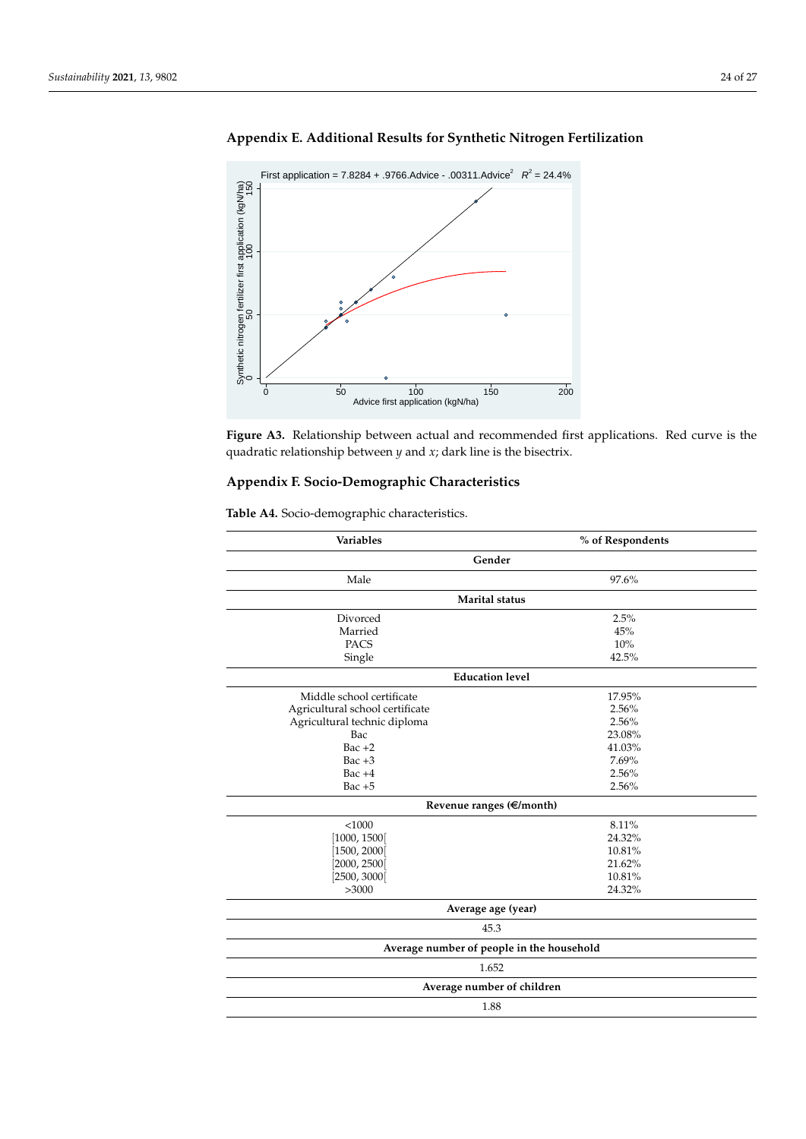

# <span id="page-23-0"></span>**Appendix E. Additional Results for Synthetic Nitrogen Fertilization**



# <span id="page-23-1"></span>**Appendix F. Socio-Demographic Characteristics**

| Gender<br>Male<br>97.6%<br><b>Marital</b> status<br>2.5%<br>Divorced<br>Married<br>45%<br><b>PACS</b><br>10%<br>42.5%<br>Single<br><b>Education level</b><br>Middle school certificate<br>17.95%<br>2.56%<br>Agricultural school certificate<br>2.56%<br>Agricultural technic diploma<br>23.08%<br>Bac<br>$Bac +2$<br>41.03%<br>7.69%<br>Bac $+3$<br>2.56%<br>Bac $+4$<br>2.56%<br>Bac $+5$<br>Revenue ranges $(\in \!\!\!\in \!\!/\text{month})$<br>< 1000<br>8.11%<br>24.32%<br>[1000, 1500]<br>[1500, 2000]<br>10.81%<br>[2000, 2500]<br>21.62%<br>[2500, 3000]<br>10.81%<br>>3000<br>24.32%<br>Average age (year)<br>45.3<br>Average number of people in the household<br>1.652<br>Average number of children<br>1.88 | <b>Variables</b> | % of Respondents |
|---------------------------------------------------------------------------------------------------------------------------------------------------------------------------------------------------------------------------------------------------------------------------------------------------------------------------------------------------------------------------------------------------------------------------------------------------------------------------------------------------------------------------------------------------------------------------------------------------------------------------------------------------------------------------------------------------------------------------|------------------|------------------|
|                                                                                                                                                                                                                                                                                                                                                                                                                                                                                                                                                                                                                                                                                                                           |                  |                  |
|                                                                                                                                                                                                                                                                                                                                                                                                                                                                                                                                                                                                                                                                                                                           |                  |                  |
|                                                                                                                                                                                                                                                                                                                                                                                                                                                                                                                                                                                                                                                                                                                           |                  |                  |
|                                                                                                                                                                                                                                                                                                                                                                                                                                                                                                                                                                                                                                                                                                                           |                  |                  |
|                                                                                                                                                                                                                                                                                                                                                                                                                                                                                                                                                                                                                                                                                                                           |                  |                  |
|                                                                                                                                                                                                                                                                                                                                                                                                                                                                                                                                                                                                                                                                                                                           |                  |                  |
|                                                                                                                                                                                                                                                                                                                                                                                                                                                                                                                                                                                                                                                                                                                           |                  |                  |
|                                                                                                                                                                                                                                                                                                                                                                                                                                                                                                                                                                                                                                                                                                                           |                  |                  |
|                                                                                                                                                                                                                                                                                                                                                                                                                                                                                                                                                                                                                                                                                                                           |                  |                  |
|                                                                                                                                                                                                                                                                                                                                                                                                                                                                                                                                                                                                                                                                                                                           |                  |                  |
|                                                                                                                                                                                                                                                                                                                                                                                                                                                                                                                                                                                                                                                                                                                           |                  |                  |
|                                                                                                                                                                                                                                                                                                                                                                                                                                                                                                                                                                                                                                                                                                                           |                  |                  |
|                                                                                                                                                                                                                                                                                                                                                                                                                                                                                                                                                                                                                                                                                                                           |                  |                  |
|                                                                                                                                                                                                                                                                                                                                                                                                                                                                                                                                                                                                                                                                                                                           |                  |                  |
|                                                                                                                                                                                                                                                                                                                                                                                                                                                                                                                                                                                                                                                                                                                           |                  |                  |
|                                                                                                                                                                                                                                                                                                                                                                                                                                                                                                                                                                                                                                                                                                                           |                  |                  |
|                                                                                                                                                                                                                                                                                                                                                                                                                                                                                                                                                                                                                                                                                                                           |                  |                  |
|                                                                                                                                                                                                                                                                                                                                                                                                                                                                                                                                                                                                                                                                                                                           |                  |                  |
|                                                                                                                                                                                                                                                                                                                                                                                                                                                                                                                                                                                                                                                                                                                           |                  |                  |
|                                                                                                                                                                                                                                                                                                                                                                                                                                                                                                                                                                                                                                                                                                                           |                  |                  |
|                                                                                                                                                                                                                                                                                                                                                                                                                                                                                                                                                                                                                                                                                                                           |                  |                  |
|                                                                                                                                                                                                                                                                                                                                                                                                                                                                                                                                                                                                                                                                                                                           |                  |                  |
|                                                                                                                                                                                                                                                                                                                                                                                                                                                                                                                                                                                                                                                                                                                           |                  |                  |
|                                                                                                                                                                                                                                                                                                                                                                                                                                                                                                                                                                                                                                                                                                                           |                  |                  |
|                                                                                                                                                                                                                                                                                                                                                                                                                                                                                                                                                                                                                                                                                                                           |                  |                  |
|                                                                                                                                                                                                                                                                                                                                                                                                                                                                                                                                                                                                                                                                                                                           |                  |                  |
|                                                                                                                                                                                                                                                                                                                                                                                                                                                                                                                                                                                                                                                                                                                           |                  |                  |
|                                                                                                                                                                                                                                                                                                                                                                                                                                                                                                                                                                                                                                                                                                                           |                  |                  |
|                                                                                                                                                                                                                                                                                                                                                                                                                                                                                                                                                                                                                                                                                                                           |                  |                  |

**Table A4.** Socio-demographic characteristics.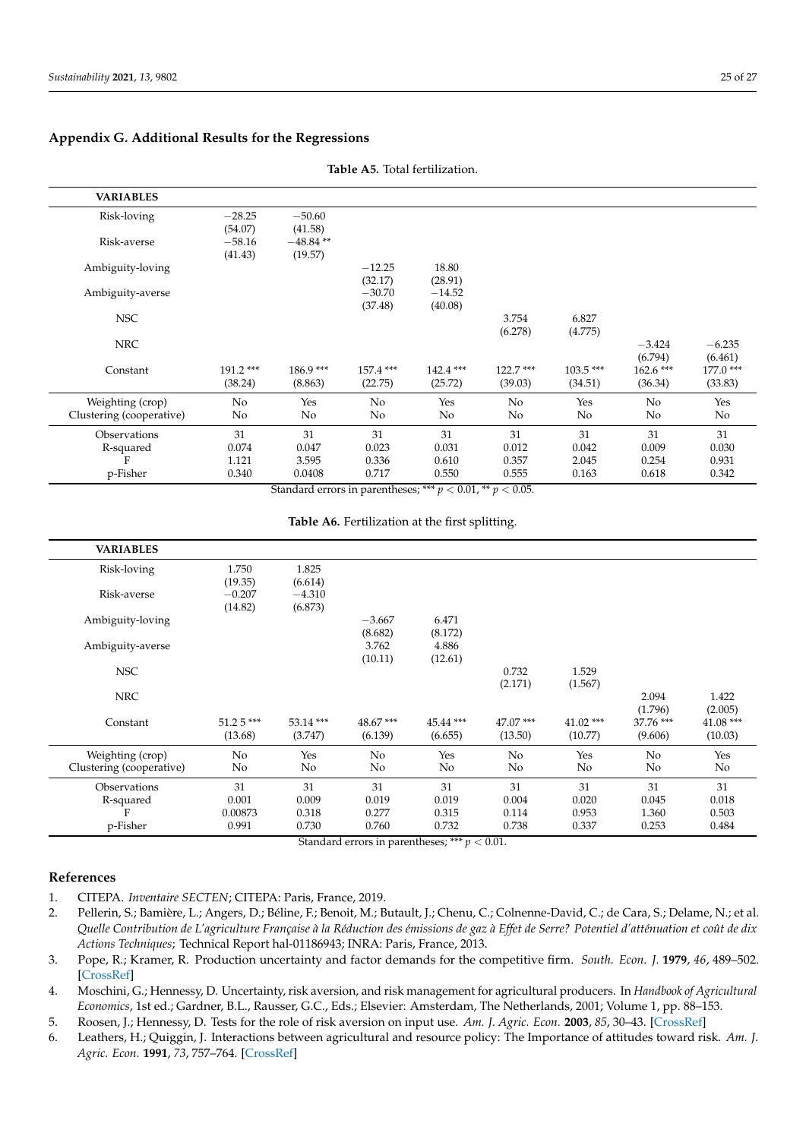# <span id="page-24-5"></span>**Appendix G. Additional Results for the Regressions**

| <b>VARIABLES</b>         |                       |                       |                      |                        |                       |                       |                       |                        |
|--------------------------|-----------------------|-----------------------|----------------------|------------------------|-----------------------|-----------------------|-----------------------|------------------------|
| Risk-loving              | $-28.25$<br>(54.07)   | $-50.60$<br>(41.58)   |                      |                        |                       |                       |                       |                        |
| Risk-averse              | $-58.16$<br>(41.43)   | $-48.84**$<br>(19.57) |                      |                        |                       |                       |                       |                        |
| Ambiguity-loving         |                       |                       | $-12.25$<br>(32.17)  | 18.80<br>(28.91)       |                       |                       |                       |                        |
| Ambiguity-averse         |                       |                       | $-30.70$<br>(37.48)  | $-14.52$<br>(40.08)    |                       |                       |                       |                        |
| <b>NSC</b>               |                       |                       |                      |                        | 3.754<br>(6.278)      | 6.827<br>(4.775)      |                       |                        |
| <b>NRC</b>               |                       |                       |                      |                        |                       |                       | $-3.424$<br>(6.794)   | $-6.235$<br>(6.461)    |
| Constant                 | $191.2***$<br>(38.24) | $186.9***$<br>(8.863) | 157.4 ***<br>(22.75) | $142.4$ ***<br>(25.72) | $122.7***$<br>(39.03) | $103.5***$<br>(34.51) | $162.6***$<br>(36.34) | $177.0$ ***<br>(33.83) |
| Weighting (crop)         | No                    | Yes                   | No                   | Yes                    | No                    | Yes                   | No                    | Yes                    |
| Clustering (cooperative) | No                    | No                    | No                   | No                     | No                    | No                    | No                    | No                     |
| Observations             | 31                    | 31                    | 31                   | 31                     | 31                    | 31                    | 31                    | 31                     |
| R-squared                | 0.074                 | 0.047                 | 0.023                | 0.031                  | 0.012                 | 0.042                 | 0.009                 | 0.030                  |
| F                        | 1.121<br>0.340        | 3.595<br>0.0408       | 0.336<br>0.717       | 0.610<br>0.550         | 0.357<br>0.555        | 2.045<br>0.163        | 0.254<br>0.618        | 0.931<br>0.342         |
| p-Fisher                 |                       |                       |                      |                        |                       |                       |                       |                        |

**Table A5.** Total fertilization.

Standard errors in parentheses; \*\*\*  $p < 0.01$ , \*\*  $p < 0.05$ .

**Table A6.** Fertilization at the first splitting.

| <b>VARIABLES</b>         |            |            |          |           |            |             |           |            |
|--------------------------|------------|------------|----------|-----------|------------|-------------|-----------|------------|
| Risk-loving              | 1.750      | 1.825      |          |           |            |             |           |            |
|                          | (19.35)    | (6.614)    |          |           |            |             |           |            |
| Risk-averse              | $-0.207$   | $-4.310$   |          |           |            |             |           |            |
|                          | (14.82)    | (6.873)    | $-3.667$ | 6.471     |            |             |           |            |
| Ambiguity-loving         |            |            | (8.682)  | (8.172)   |            |             |           |            |
| Ambiguity-averse         |            |            | 3.762    | 4.886     |            |             |           |            |
|                          |            |            | (10.11)  | (12.61)   |            |             |           |            |
| <b>NSC</b>               |            |            |          |           | 0.732      | 1.529       |           |            |
|                          |            |            |          |           | (2.171)    | (1.567)     |           |            |
| <b>NRC</b>               |            |            |          |           |            |             | 2.094     | 1.422      |
|                          |            |            |          |           |            |             | (1.796)   | (2.005)    |
| Constant                 | $51.25***$ | $53.14***$ | 48.67*** | 45.44 *** | $47.07***$ | $41.02$ *** | 37.76 *** | $41.08***$ |
|                          | (13.68)    | (3.747)    | (6.139)  | (6.655)   | (13.50)    | (10.77)     | (9.606)   | (10.03)    |
| Weighting (crop)         | No         | Yes        | No       | Yes       | No         | Yes         | No        | Yes        |
| Clustering (cooperative) | No         | No         | No       | No        | No         | No          | No        | No         |
| Observations             | 31         | 31         | 31       | 31        | 31         | 31          | 31        | 31         |
| R-squared                | 0.001      | 0.009      | 0.019    | 0.019     | 0.004      | 0.020       | 0.045     | 0.018      |
| F                        | 0.00873    | 0.318      | 0.277    | 0.315     | 0.114      | 0.953       | 1.360     | 0.503      |
| p-Fisher                 | 0.991      | 0.730      | 0.760    | 0.732     | 0.738      | 0.337       | 0.253     | 0.484      |

Standard errors in parentheses; \*\*\* *p* < 0.01.

# **References**

<span id="page-24-0"></span>1. CITEPA. *Inventaire SECTEN*; CITEPA: Paris, France, 2019.

<span id="page-24-1"></span>2. Pellerin, S.; Bamière, L.; Angers, D.; Béline, F.; Benoit, M.; Butault, J.; Chenu, C.; Colnenne-David, C.; de Cara, S.; Delame, N.; et al. *Quelle Contribution de L'agriculture Française à la Réduction des émissions de gaz à Effet de Serre? Potentiel d'atténuation et coût de dix Actions Techniques*; Technical Report hal-01186943; INRA: Paris, France, 2013.

<span id="page-24-2"></span>3. Pope, R.; Kramer, R. Production uncertainty and factor demands for the competitive firm. *South. Econ. J.* **1979**, *46*, 489–502. [\[CrossRef\]](http://doi.org/10.2307/1057421)

4. Moschini, G.; Hennessy, D. Uncertainty, risk aversion, and risk management for agricultural producers. In *Handbook of Agricultural Economics*, 1st ed.; Gardner, B.L., Rausser, G.C., Eds.; Elsevier: Amsterdam, The Netherlands, 2001; Volume 1, pp. 88–153.

<span id="page-24-3"></span>5. Roosen, J.; Hennessy, D. Tests for the role of risk aversion on input use. *Am. J. Agric. Econ.* **2003**, *85*, 30–43. [\[CrossRef\]](http://dx.doi.org/10.1111/1467-8276.00101)

<span id="page-24-4"></span>6. Leathers, H.; Quiggin, J. Interactions between agricultural and resource policy: The Importance of attitudes toward risk. *Am. J. Agric. Econ.* **1991**, *73*, 757–764. [\[CrossRef\]](http://dx.doi.org/10.2307/1242828)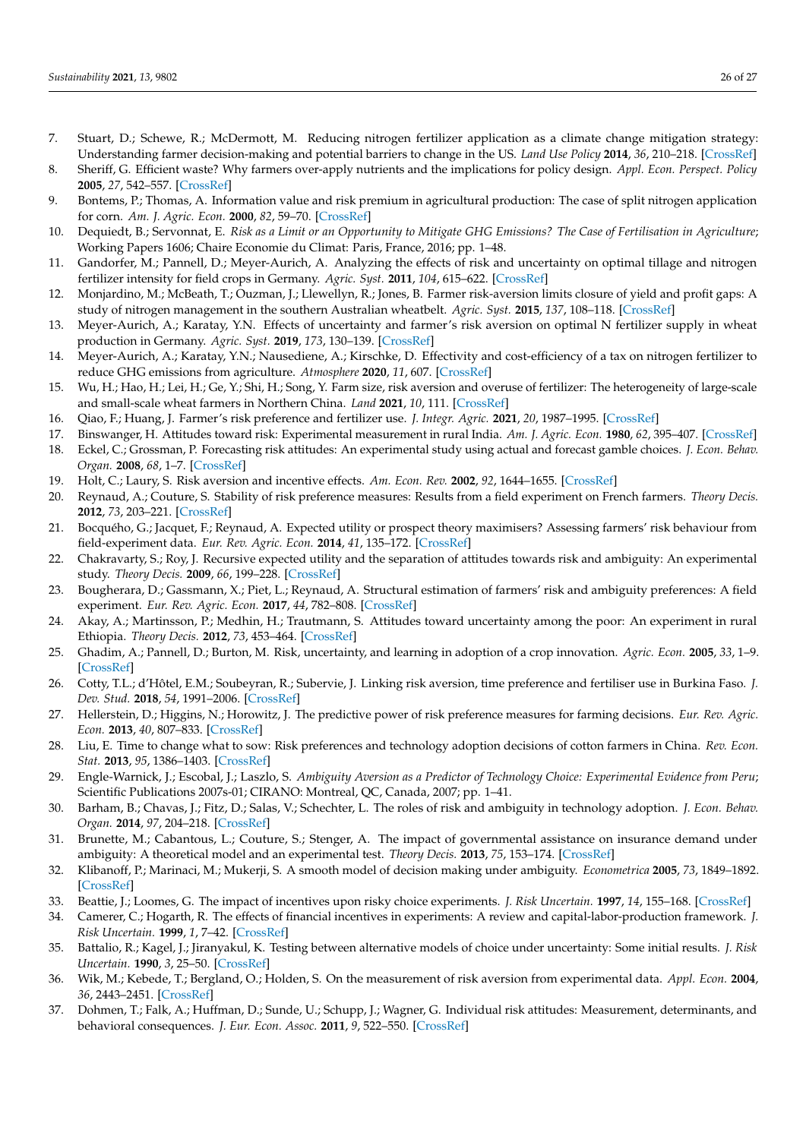- <span id="page-25-0"></span>7. Stuart, D.; Schewe, R.; McDermott, M. Reducing nitrogen fertilizer application as a climate change mitigation strategy: Understanding farmer decision-making and potential barriers to change in the US. *Land Use Policy* **2014**, *36*, 210–218. [\[CrossRef\]](http://dx.doi.org/10.1016/j.landusepol.2013.08.011)
- <span id="page-25-1"></span>8. Sheriff, G. Efficient waste? Why farmers over-apply nutrients and the implications for policy design. *Appl. Econ. Perspect. Policy* **2005**, *27*, 542–557. [\[CrossRef\]](http://dx.doi.org/10.1111/j.1467-9353.2005.00263.x)
- <span id="page-25-2"></span>9. Bontems, P.; Thomas, A. Information value and risk premium in agricultural production: The case of split nitrogen application for corn. *Am. J. Agric. Econ.* **2000**, *82*, 59–70. [\[CrossRef\]](http://dx.doi.org/10.1111/0002-9092.00006)
- <span id="page-25-3"></span>10. Dequiedt, B.; Servonnat, E. *Risk as a Limit or an Opportunity to Mitigate GHG Emissions? The Case of Fertilisation in Agriculture*; Working Papers 1606; Chaire Economie du Climat: Paris, France, 2016; pp. 1–48.
- <span id="page-25-4"></span>11. Gandorfer, M.; Pannell, D.; Meyer-Aurich, A. Analyzing the effects of risk and uncertainty on optimal tillage and nitrogen fertilizer intensity for field crops in Germany. *Agric. Syst.* **2011**, *104*, 615–622. [\[CrossRef\]](http://dx.doi.org/10.1016/j.agsy.2011.06.004)
- <span id="page-25-5"></span>12. Monjardino, M.; McBeath, T.; Ouzman, J.; Llewellyn, R.; Jones, B. Farmer risk-aversion limits closure of yield and profit gaps: A study of nitrogen management in the southern Australian wheatbelt. *Agric. Syst.* **2015**, *137*, 108–118. [\[CrossRef\]](http://dx.doi.org/10.1016/j.agsy.2015.04.006)
- <span id="page-25-6"></span>13. Meyer-Aurich, A.; Karatay, Y.N. Effects of uncertainty and farmer's risk aversion on optimal N fertilizer supply in wheat production in Germany. *Agric. Syst.* **2019**, *173*, 130–139. [\[CrossRef\]](http://dx.doi.org/10.1016/j.agsy.2019.02.010)
- <span id="page-25-7"></span>14. Meyer-Aurich, A.; Karatay, Y.N.; Nausediene, A.; Kirschke, D. Effectivity and cost-efficiency of a tax on nitrogen fertilizer to reduce GHG emissions from agriculture. *Atmosphere* **2020**, *11*, 607. [\[CrossRef\]](http://dx.doi.org/10.3390/atmos11060607)
- <span id="page-25-8"></span>15. Wu, H.; Hao, H.; Lei, H.; Ge, Y.; Shi, H.; Song, Y. Farm size, risk aversion and overuse of fertilizer: The heterogeneity of large-scale and small-scale wheat farmers in Northern China. *Land* **2021**, *10*, 111. [\[CrossRef\]](http://dx.doi.org/10.3390/land10020111)
- <span id="page-25-9"></span>16. Qiao, F.; Huang, J. Farmer's risk preference and fertilizer use. *J. Integr. Agric.* **2021**, *20*, 1987–1995. [\[CrossRef\]](http://dx.doi.org/10.1016/S2095-3119(20)63450-5)
- <span id="page-25-10"></span>17. Binswanger, H. Attitudes toward risk: Experimental measurement in rural India. *Am. J. Agric. Econ.* **1980**, *62*, 395–407. [\[CrossRef\]](http://dx.doi.org/10.2307/1240194)
- <span id="page-25-11"></span>18. Eckel, C.; Grossman, P. Forecasting risk attitudes: An experimental study using actual and forecast gamble choices. *J. Econ. Behav. Organ.* **2008**, *68*, 1–7. [\[CrossRef\]](http://dx.doi.org/10.1016/j.jebo.2008.04.006)
- <span id="page-25-12"></span>19. Holt, C.; Laury, S. Risk aversion and incentive effects. *Am. Econ. Rev.* **2002**, *92*, 1644–1655. [\[CrossRef\]](http://dx.doi.org/10.1257/000282802762024700)
- <span id="page-25-13"></span>20. Reynaud, A.; Couture, S. Stability of risk preference measures: Results from a field experiment on French farmers. *Theory Decis.* **2012**, *73*, 203–221. [\[CrossRef\]](http://dx.doi.org/10.1007/s11238-012-9296-5)
- <span id="page-25-14"></span>21. Bocquého, G.; Jacquet, F.; Reynaud, A. Expected utility or prospect theory maximisers? Assessing farmers' risk behaviour from field-experiment data. *Eur. Rev. Agric. Econ.* **2014**, *41*, 135–172. [\[CrossRef\]](http://dx.doi.org/10.1093/erae/jbt006)
- <span id="page-25-15"></span>22. Chakravarty, S.; Roy, J. Recursive expected utility and the separation of attitudes towards risk and ambiguity: An experimental study. *Theory Decis.* **2009**, *66*, 199–228. [\[CrossRef\]](http://dx.doi.org/10.1007/s11238-008-9112-4)
- <span id="page-25-16"></span>23. Bougherara, D.; Gassmann, X.; Piet, L.; Reynaud, A. Structural estimation of farmers' risk and ambiguity preferences: A field experiment. *Eur. Rev. Agric. Econ.* **2017**, *44*, 782–808. [\[CrossRef\]](http://dx.doi.org/10.1093/erae/jbx011)
- <span id="page-25-17"></span>24. Akay, A.; Martinsson, P.; Medhin, H.; Trautmann, S. Attitudes toward uncertainty among the poor: An experiment in rural Ethiopia. *Theory Decis.* **2012**, *73*, 453–464. [\[CrossRef\]](http://dx.doi.org/10.1007/s11238-011-9250-y)
- <span id="page-25-18"></span>25. Ghadim, A.; Pannell, D.; Burton, M. Risk, uncertainty, and learning in adoption of a crop innovation. *Agric. Econ.* **2005**, *33*, 1–9. [\[CrossRef\]](http://dx.doi.org/10.1111/j.1574-0862.2005.00433.x)
- <span id="page-25-19"></span>26. Cotty, T.L.; d'Hôtel, E.M.; Soubeyran, R.; Subervie, J. Linking risk aversion, time preference and fertiliser use in Burkina Faso. *J. Dev. Stud.* **2018**, *54*, 1991–2006. [\[CrossRef\]](http://dx.doi.org/10.1080/00220388.2017.1344645)
- <span id="page-25-20"></span>27. Hellerstein, D.; Higgins, N.; Horowitz, J. The predictive power of risk preference measures for farming decisions. *Eur. Rev. Agric. Econ.* **2013**, *40*, 807–833. [\[CrossRef\]](http://dx.doi.org/10.1093/erae/jbs043)
- <span id="page-25-21"></span>28. Liu, E. Time to change what to sow: Risk preferences and technology adoption decisions of cotton farmers in China. *Rev. Econ. Stat.* **2013**, *95*, 1386–1403. [\[CrossRef\]](http://dx.doi.org/10.1162/REST_a_00295)
- <span id="page-25-22"></span>29. Engle-Warnick, J.; Escobal, J.; Laszlo, S. *Ambiguity Aversion as a Predictor of Technology Choice: Experimental Evidence from Peru*; Scientific Publications 2007s-01; CIRANO: Montreal, QC, Canada, 2007; pp. 1–41.
- <span id="page-25-23"></span>30. Barham, B.; Chavas, J.; Fitz, D.; Salas, V.; Schechter, L. The roles of risk and ambiguity in technology adoption. *J. Econ. Behav. Organ.* **2014**, *97*, 204–218. [\[CrossRef\]](http://dx.doi.org/10.1016/j.jebo.2013.06.014)
- <span id="page-25-24"></span>31. Brunette, M.; Cabantous, L.; Couture, S.; Stenger, A. The impact of governmental assistance on insurance demand under ambiguity: A theoretical model and an experimental test. *Theory Decis.* **2013**, *75*, 153–174. [\[CrossRef\]](http://dx.doi.org/10.1007/s11238-012-9321-8)
- <span id="page-25-25"></span>32. Klibanoff, P.; Marinaci, M.; Mukerji, S. A smooth model of decision making under ambiguity. *Econometrica* **2005**, *73*, 1849–1892. [\[CrossRef\]](http://dx.doi.org/10.1111/j.1468-0262.2005.00640.x)
- <span id="page-25-26"></span>33. Beattie, J.; Loomes, G. The impact of incentives upon risky choice experiments. *J. Risk Uncertain.* **1997**, *14*, 155–168. [\[CrossRef\]](http://dx.doi.org/10.1023/A:1007721327452)
- <span id="page-25-27"></span>34. Camerer, C.; Hogarth, R. The effects of financial incentives in experiments: A review and capital-labor-production framework. *J. Risk Uncertain.* **1999**, *1*, 7–42. [\[CrossRef\]](http://dx.doi.org/10.1023/A:1007850605129)
- <span id="page-25-28"></span>35. Battalio, R.; Kagel, J.; Jiranyakul, K. Testing between alternative models of choice under uncertainty: Some initial results. *J. Risk Uncertain.* **1990**, *3*, 25–50. [\[CrossRef\]](http://dx.doi.org/10.1007/BF00213259)
- <span id="page-25-29"></span>36. Wik, M.; Kebede, T.; Bergland, O.; Holden, S. On the measurement of risk aversion from experimental data. *Appl. Econ.* **2004**, *36*, 2443–2451. [\[CrossRef\]](http://dx.doi.org/10.1080/0003684042000280580)
- <span id="page-25-30"></span>37. Dohmen, T.; Falk, A.; Huffman, D.; Sunde, U.; Schupp, J.; Wagner, G. Individual risk attitudes: Measurement, determinants, and behavioral consequences. *J. Eur. Econ. Assoc.* **2011**, *9*, 522–550. [\[CrossRef\]](http://dx.doi.org/10.1111/j.1542-4774.2011.01015.x)